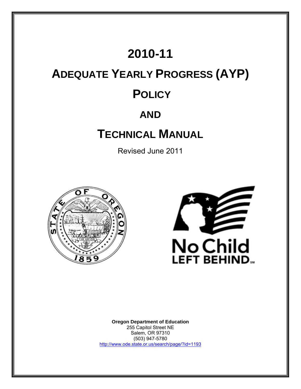## **2010-11**

# **ADEQUATE YEARLY PROGRESS (AYP) POLICY**

## **AND**

## **TECHNICAL MANUAL**

Revised June 2011





**Oregon Department of Education** 255 Capitol Street NE Salem, OR 97310 (503) 947-5780 <http://www.ode.state.or.us/search/page/?id=1193>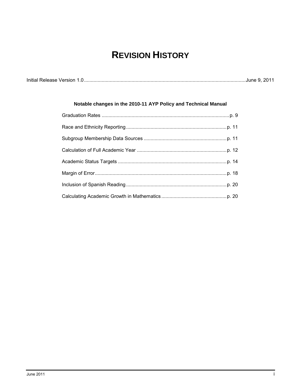## **REVISION HISTORY**

|--|--|

### **Notable changes in the 2010-11 AYP Policy and Technical Manual**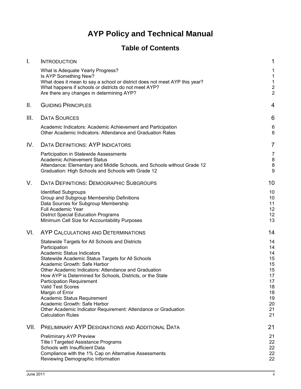## **AYP Policy and Technical Manual**

### **Table of Contents**

| Τ.   | <b>INTRODUCTION</b>                                                                                                                                                                                                                                                                                                                                                                                                                                                                                                                                       | 1                                                                                |
|------|-----------------------------------------------------------------------------------------------------------------------------------------------------------------------------------------------------------------------------------------------------------------------------------------------------------------------------------------------------------------------------------------------------------------------------------------------------------------------------------------------------------------------------------------------------------|----------------------------------------------------------------------------------|
|      | What is Adequate Yearly Progress?<br>Is AYP Something New?<br>What does it mean to say a school or district does not meet AYP this year?<br>What happens if schools or districts do not meet AYP?<br>Are there any changes in determining AYP?                                                                                                                                                                                                                                                                                                            | 1<br>1<br>1<br>$\frac{2}{2}$                                                     |
| Ш.   | <b>GUIDING PRINCIPLES</b>                                                                                                                                                                                                                                                                                                                                                                                                                                                                                                                                 | 4                                                                                |
| III. | <b>DATA SOURCES</b>                                                                                                                                                                                                                                                                                                                                                                                                                                                                                                                                       | 6                                                                                |
|      | Academic Indicators: Academic Achievement and Participation<br>Other Academic Indicators: Attendance and Graduation Rates                                                                                                                                                                                                                                                                                                                                                                                                                                 | 6<br>6                                                                           |
| IV.  | <b>DATA DEFINITIONS: AYP INDICATORS</b>                                                                                                                                                                                                                                                                                                                                                                                                                                                                                                                   | $\overline{7}$                                                                   |
|      | Participation in Statewide Assessments<br><b>Academic Achievement Status</b><br>Attendance: Elementary and Middle Schools, and Schools without Grade 12<br>Graduation: High Schools and Schools with Grade 12                                                                                                                                                                                                                                                                                                                                             | 7<br>8<br>8<br>9                                                                 |
| V.   | DATA DEFINITIONS: DEMOGRAPHIC SUBGROUPS                                                                                                                                                                                                                                                                                                                                                                                                                                                                                                                   | 10                                                                               |
|      | <b>Identified Subgroups</b><br>Group and Subgroup Membership Definitions<br>Data Sources for Subgroup Membership<br>Full Academic Year<br><b>District Special Education Programs</b><br>Minimum Cell Size for Accountability Purposes                                                                                                                                                                                                                                                                                                                     | 10<br>10<br>11<br>12<br>12<br>13                                                 |
| VI.  | AYP CALCULATIONS AND DETERMINATIONS                                                                                                                                                                                                                                                                                                                                                                                                                                                                                                                       | 14                                                                               |
|      | Statewide Targets for All Schools and Districts<br>Participation<br>Academic Status Indicators<br>Statewide Academic Status Targets for All Schools<br>Academic Growth: Safe Harbor<br>Other Academic Indicators: Attendance and Graduation<br>How AYP is Determined for Schools, Districts, or the State<br><b>Participation Requirement</b><br><b>Valid Test Scores</b><br>Margin of Error<br>Academic Status Requirement<br>Academic Growth: Safe Harbor<br>Other Academic Indicator Requirement: Attendance or Graduation<br><b>Calculation Rules</b> | 14<br>14<br>14<br>15<br>15<br>15<br>17<br>17<br>18<br>18<br>19<br>20<br>21<br>21 |
| VII. | <b>PRELIMINARY AYP DESIGNATIONS AND ADDITIONAL DATA</b>                                                                                                                                                                                                                                                                                                                                                                                                                                                                                                   | 21                                                                               |
|      | <b>Preliminary AYP Preview</b><br>Title I Targeted Assistance Programs<br>Schools with Insufficient Data<br>Compliance with the 1% Cap on Alternative Assessments<br>Reviewing Demographic Information                                                                                                                                                                                                                                                                                                                                                    | 21<br>22<br>22<br>22<br>22                                                       |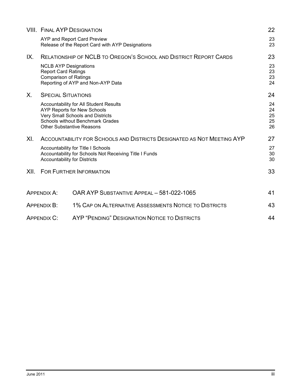|      |                                                                                            | <b>VIII. FINAL AYP DESIGNATION</b>                                                                                                                                                              | 22                         |
|------|--------------------------------------------------------------------------------------------|-------------------------------------------------------------------------------------------------------------------------------------------------------------------------------------------------|----------------------------|
|      |                                                                                            | AYP and Report Card Preview<br>Release of the Report Card with AYP Designations                                                                                                                 | 23<br>23                   |
| IX.  |                                                                                            | <b>RELATIONSHIP OF NCLB TO OREGON'S SCHOOL AND DISTRICT REPORT CARDS</b>                                                                                                                        | 23                         |
|      | <b>NCLB AYP Designations</b><br><b>Report Card Ratings</b><br><b>Comparison of Ratings</b> | Reporting of AYP and Non-AYP Data                                                                                                                                                               | 23<br>23<br>23<br>24       |
| X.   | <b>SPECIAL SITUATIONS</b>                                                                  |                                                                                                                                                                                                 | 24                         |
|      |                                                                                            | Accountability for All Student Results<br><b>AYP Reports for New Schools</b><br>Very Small Schools and Districts<br><b>Schools without Benchmark Grades</b><br><b>Other Substantive Reasons</b> | 24<br>24<br>25<br>25<br>26 |
| XI.  |                                                                                            | ACCOUNTABILITY FOR SCHOOLS AND DISTRICTS DESIGNATED AS NOT MEETING AYP                                                                                                                          | 27                         |
|      | <b>Accountability for Districts</b>                                                        | Accountability for Title I Schools<br>Accountability for Schools Not Receiving Title I Funds                                                                                                    | 27<br>30<br>30             |
| XII. |                                                                                            | <b>FOR FURTHER INFORMATION</b>                                                                                                                                                                  | 33                         |
|      | <b>APPENDIX A:</b>                                                                         | OAR AYP SUBSTANTIVE APPEAL - 581-022-1065                                                                                                                                                       | 41                         |
|      | APPENDIX B:                                                                                | 1% CAP ON ALTERNATIVE ASSESSMENTS NOTICE TO DISTRICTS                                                                                                                                           | 43                         |
|      | <b>APPENDIX C:</b>                                                                         | AYP "PENDING" DESIGNATION NOTICE TO DISTRICTS                                                                                                                                                   | 44                         |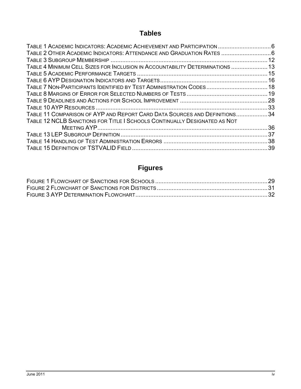### **Tables**

| TABLE 1 ACADEMIC INDICATORS: ACADEMIC ACHIEVEMENT AND PARTICIPATION  6        |     |
|-------------------------------------------------------------------------------|-----|
| TABLE 2 OTHER ACADEMIC INDICATORS: ATTENDANCE AND GRADUATION RATES  6         |     |
|                                                                               |     |
| TABLE 4 MINIMUM CELL SIZES FOR INCLUSION IN ACCOUNTABILITY DETERMINATIONS  13 |     |
|                                                                               |     |
|                                                                               |     |
| TABLE 7 NON-PARTICIPANTS IDENTIFIED BY TEST ADMINISTRATION CODES 18           |     |
|                                                                               |     |
|                                                                               |     |
|                                                                               |     |
| TABLE 11 COMPARISON OF AYP AND REPORT CARD DATA SOURCES AND DEFINITIONS34     |     |
| TABLE 12 NCLB SANCTIONS FOR TITLE I SCHOOLS CONTINUALLY DESIGNATED AS NOT     |     |
|                                                                               |     |
|                                                                               | .37 |
|                                                                               |     |
|                                                                               |     |

### **Figures**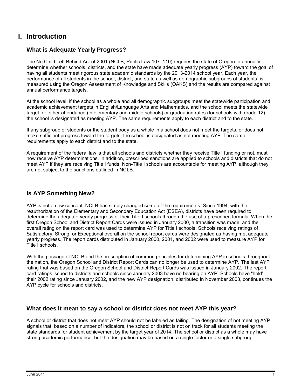### <span id="page-6-0"></span>**I. Introduction**

### <span id="page-6-1"></span>**What is Adequate Yearly Progress?**

The No Child Left Behind Act of 2001 (NCLB, Public Law 107–110) requires the state of Oregon to annually determine whether schools, districts, and the state have made adequate yearly progress (AYP) toward the goal of having all students meet rigorous state academic standards by the 2013-2014 school year. Each year, the performance of all students in the school, district, and state as well as demographic subgroups of students, is measured using the Oregon Assessment of Knowledge and Skills (OAKS) and the results are compared against annual performance targets.

At the school level, if the school as a whole and all demographic subgroups meet the statewide participation and academic achievement targets in English/Language Arts and Mathematics, and the school meets the statewide target for either attendance (in elementary and middle schools) or graduation rates (for schools with grade 12), the school is designated as meeting AYP. The same requirements apply to each district and to the state.

If any subgroup of students or the student body as a whole in a school does not meet the targets, or does not make sufficient progress toward the targets, the school is designated as not meeting AYP. The same requirements apply to each district and to the state.

A requirement of the federal law is that all schools and districts whether they receive Title I funding or not, must now receive AYP determinations. In addition, prescribed sanctions are applied to schools and districts that do not meet AYP if they are receiving Title I funds. Non-Title I schools are accountable for meeting AYP, although they are not subject to the sanctions outlined in NCLB.

### <span id="page-6-2"></span>**Is AYP Something New?**

AYP is not a new concept. NCLB has simply changed some of the requirements. Since 1994, with the reauthorization of the Elementary and Secondary Education Act (ESEA), districts have been required to determine the adequate yearly progress of their Title I schools through the use of a prescribed formula. When the first Oregon School and District Report Cards were issued in January 2000, a transition was made, and the overall rating on the report card was used to determine AYP for Title I schools. Schools receiving ratings of Satisfactory, Strong, or Exceptional overall on the school report cards were designated as having met adequate yearly progress. The report cards distributed in January 2000, 2001, and 2002 were used to measure AYP for Title I schools.

With the passage of NCLB and the prescription of common principles for determining AYP in schools throughout the nation, the Oregon School and District Report Cards can no longer be used to determine AYP. The last AYP rating that was based on the Oregon School and District Report Cards was issued in January 2002. The report card ratings issued to districts and schools since January 2003 have no bearing on AYP. Schools have "held" their 2002 rating since January 2002, and the new AYP designation, distributed in November 2003, continues the AYP cycle for schools and districts.

### <span id="page-6-3"></span>**What does it mean to say a school or district does not meet AYP this year?**

A school or district that does not meet AYP should not be labeled as failing. The designation of not meeting AYP signals that, based on a number of indicators, the school or district is not on track for all students meeting the state standards for student achievement by the target year of 2014. The school or district as a whole may have strong academic performance, but the designation may be based on a single factor or a single subgroup.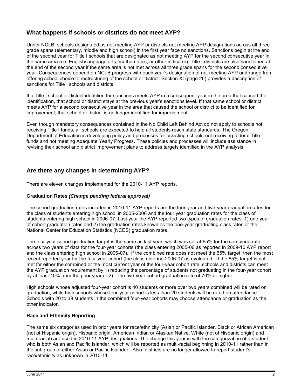### <span id="page-7-0"></span>**What happens if schools or districts do not meet AYP?**

Under NCLB, schools designated as not meeting AYP or districts not meeting AYP designations across all three grade spans (elementary, middle and high school) in the first year face no sanctions. Sanctions begin at the end of the second year for Title I schools that are designated as not meeting AYP for the second consecutive year in the same area (i.e. English/language arts, mathematics, or other indicator). Title I districts are also sanctioned at the end of the second year if the same area is not met across all three grade spans for the second consecutive year. Consequences depend on NCLB progress with each year"s designation of not meeting AYP and range from offering school choice to restructuring of the school or district. Section XI (page 26) provides a description of sanctions for Title I schools and districts.

If a Title I school or district identified for sanctions meets AYP in a subsequent year in the area that caused the identification, that school or district stays at the previous year"s sanctions level. If that same school or district meets AYP for a second consecutive year in the area that caused the school or district to be identified for improvement, that school or district is no longer identified for improvement.

Even though mandatory consequences contained in the No Child Left Behind Act do not apply to schools not receiving Title I funds, all schools are expected to help all students reach state standards. The Oregon Department of Education is developing policy and processes for assisting schools not receiving federal Title I funds and not meeting Adequate Yearly Progress. These policies and processes will include assistance in revising their school and district improvement plans to address targets identified in the AYP analysis.

### <span id="page-7-1"></span>**Are there any changes in determining AYP?**

There are eleven changes implemented for the 2010-11 AYP reports.

### **Graduation Rates** *(Change pending federal approval)*

The cohort graduation rates included in 2010-11 AYP reports are the four-year and five-year graduation rates for the class of students entering high school in 2005-2006 and the four year graduation rates for the class of students entering high school in 2006-07. Last year the AYP reported two types of graduation rates: 1) one year of cohort graduation rates and 2) the graduation rates known as the one-year graduating class rates or the National Center for Education Statistics (NCES) graduation rates.

The four-year cohort graduation target is the same as last year, which was set at 65% for the combined rate across two years of data for the four-year cohorts (the class entering 2005-06 as reported in 2009-10 AYP report and the class entering high school in 2006-07). If the combined rate does not meet the 65% target, then the most recent reported year for the four-year cohort (the class entering 2006-07) is evaluated. If the 65% target is not met for either the combined or the most current year of the four-year cohort rate, schools and districts can meet the AYP graduation requirement by 1) reducing the percentage of students not graduating in the four-year cohort by at least 10% from the prior year or 2) if the five-year cohort graduation rate of 70% or higher.

High schools whose adjusted four-year cohort is 40 students or more over two years combined will be rated on graduation, while high schools whose four-year cohort is less than 20 students will be rated on attendance. Schools with 20 to 39 students in the combined four-year cohorts may choose attendance or graduation as the other indicator.

### **Race and Ethnicity Reporting**

The same six categories used in prior years for race/ethnicity (Asian or Pacific Islander, Black or African American (not of Hispanic origin), Hispanic origin, American Indian or Alaskan Native, White (not of Hispanic origin) and multi-racial) are used in 2010-11 AYP designations. The change this year is with the categorization of a student who is both Asian and Pacific Islander, which will be reported as multi-racial beginning in 2010-11 rather than in the subgroup of either Asian or Pacific Islander. Also, districts are no longer allowed to report student"s race/ethnicity as unknown in 2010-11.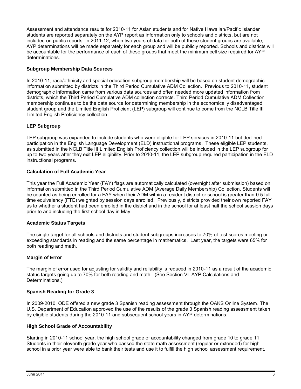Assessment and attendance results for 2010-11 for Asian students and for Native Hawaiian/Pacific Islander students are reported separately on the AYP report as information only to schools and districts, but are not included on public reports. In 2011-12, when two years of data for both of these student groups are available, AYP determinations will be made separately for each group and will be publicly reported. Schools and districts will be accountable for the performance of each of these groups that meet the minimum cell size required for AYP determinations.

### **Subgroup Membership Data Sources**

In 2010-11, race/ethnicity and special education subgroup membership will be based on student demographic information submitted by districts in the Third Period Cumulative ADM Collection. Previous to 2010-11, student demographic information came from various data sources and often needed more updated information from districts, which the Third Period Cumulative ADM collection corrects. Third Period Cumulative ADM Collection membership continues to be the data source for determining membership in the economically disadvantaged student group and the Limited English Proficient (LEP) subgroup will continue to come from the NCLB Title III Limited English Proficiency collection.

### **LEP Subgroup**

LEP subgroup was expanded to include students who were eligible for LEP services in 2010-11 but declined participation in the English Language Development (ELD) instructional programs. These eligible LEP students, as submitted in the NCLB Title III Limited English Proficiency collection will be included in the LEP subgroup for up to two years after they exit LEP eligibility. Prior to 2010-11, the LEP subgroup required participation in the ELD instructional programs.

### **Calculation of Full Academic Year**

This year the Full Academic Year (FAY) flags are automatically calculated (overnight after submission) based on information submitted in the Third Period Cumulative ADM (Average Daily Membership) Collection. Students will be counted as being enrolled for a FAY when their ADM within a resident district or school is greater than 0.5 full time equivalency (FTE) weighted by session days enrolled. Previously, districts provided their own reported FAY as to whether a student had been enrolled in the district and in the school for at least half the school session days prior to and including the first school day in May.

### **Academic Status Targets**

The single target for all schools and districts and student subgroups increases to 70% of test scores meeting or exceeding standards in reading and the same percentage in mathematics. Last year, the targets were 65% for both reading and math.

### **Margin of Error**

The margin of error used for adjusting for validity and reliability is reduced in 2010-11 as a result of the academic status targets going up to 70% for both reading and math. (See Section VI. AYP Calculations and Determinations.)

### **Spanish Reading for Grade 3**

In 2009-2010, ODE offered a new grade 3 Spanish reading assessment through the OAKS Online System. The U.S. Department of Education approved the use of the results of the grade 3 Spanish reading assessment taken by eligible students during the 2010-11 and subsequent school years in AYP determinations.

### **High School Grade of Accountability**

Starting in 2010-11 school year, the high school grade of accountability changed from grade 10 to grade 11. Students in their eleventh grade year who passed the state math assessment (regular or extended) for high school in a prior year were able to bank their tests and use it to fulfill the high school assessment requirement.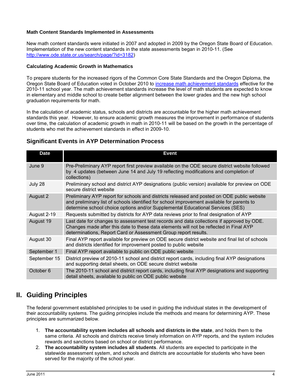### **Math Content Standards Implemented in Assessments**

New math content standards were initiated in 2007 and adopted in 2009 by the Oregon State Board of Education. Implementation of the new content standards in the state assessments began in 2010-11. (See [http://www.ode.state.or.us/search/page/?id=3182\)](http://www.ode.state.or.us/search/page/?id=3182)

#### **Calculating Academic Growth in Mathematics**

To prepare students for the increased rigors of the Common Core State Standards and the Oregon Diploma, the Oregon State Board of Education voted in October 2010 to [increase math achievement standards](http://www.ode.state.or.us/teachlearn/standards/contentperformance/achievementstds_1011.pdf) effective for the 2010-11 school year. The math achievement standards increase the level of math students are expected to know in elementary and middle school to create better alignment between the lower grades and the new high school graduation requirements for math.

In the calculation of academic status, schools and districts are accountable for the higher math achievement standards this year. However, to ensure academic growth measures the improvement in performance of students over time, the calculation of academic growth in math in 2010-11 will be based on the growth in the percentage of students who met the achievement standards in effect in 2009-10.

| <b>Date</b>  | <b>Event</b>                                                                                                                                                                                                                                                               |
|--------------|----------------------------------------------------------------------------------------------------------------------------------------------------------------------------------------------------------------------------------------------------------------------------|
| June 9       | Pre-Preliminary AYP report first preview available on the ODE secure district website followed<br>by 4 updates (between June 14 and July 19 reflecting modifications and completion of<br>collections)                                                                     |
| July 28      | Preliminary school and district AYP designations (public version) available for preview on ODE<br>secure district website                                                                                                                                                  |
| August 2     | Preliminary AYP report for schools and districts released and posted on ODE public website<br>and preliminary list of schools identified for school improvement available for parents to<br>determine school choice options and/or Supplemental Educational Services (SES) |
| August 2-19  | Requests submitted by districts for AYP data reviews prior to final designation of AYP                                                                                                                                                                                     |
| August 19    | Last date for changes to assessment test records and data collections if approved by ODE.<br>Changes made after this date to these data elements will not be reflected in Final AYP<br>determinations, Report Card or Assessment Group report results.                     |
| August 30    | Final AYP report available for preview on ODE secure district website and final list of schools<br>and districts identified for improvement posted to public website                                                                                                       |
| September 1  | Final AYP report available to public on ODE public website                                                                                                                                                                                                                 |
| September 15 | District preview of 2010-11 school and district report cards, including final AYP designations<br>and supporting detail sheets, on ODE secure district website                                                                                                             |
| October 6    | The 2010-11 school and district report cards, including final AYP designations and supporting<br>detail sheets, available to public on ODE public website                                                                                                                  |

### **Significant Events in AYP Determination Process**

### <span id="page-9-0"></span>**II. Guiding Principles**

The federal government established principles to be used in guiding the individual states in the development of their accountability systems. The guiding principles include the methods and means for determining AYP. These principles are summarized below.

- 1. **The accountability system includes all schools and districts in the state**, and holds them to the same criteria. All schools and districts receive timely information on AYP reports, and the system includes rewards and sanctions based on school or district performance.
- 2. **The accountability system includes all students**. All students are expected to participate in the statewide assessment system, and schools and districts are accountable for students who have been served for the majority of the school year.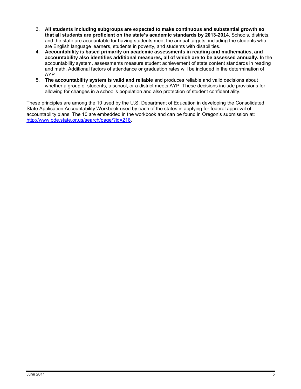- 3. **All students including subgroups are expected to make continuous and substantial growth so that all students are proficient on the state's academic standards by 2013-2014.** Schools, districts, and the state are accountable for having students meet the annual targets, including the students who are English language learners, students in poverty, and students with disabilities.
- 4. **Accountability is based primarily on academic assessments in reading and mathematics, and accountability also identifies additional measures, all of which are to be assessed annually.** In the accountability system, assessments measure student achievement of state content standards in reading and math. Additional factors of attendance or graduation rates will be included in the determination of AYP.
- 5. **The accountability system is valid and reliable** and produces reliable and valid decisions about whether a group of students, a school, or a district meets AYP. These decisions include provisions for allowing for changes in a school"s population and also protection of student confidentiality.

These principles are among the 10 used by the U.S. Department of Education in developing the Consolidated State Application Accountability Workbook used by each of the states in applying for federal approval of accountability plans. The 10 are embedded in the workbook and can be found in Oregon"s submission at: [http://www.ode.state.or.us/search/page/?id=218.](http://www.ode.state.or.us/search/page/?id=218)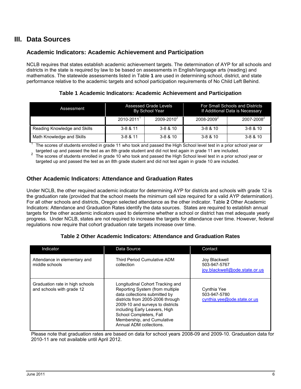### <span id="page-11-0"></span>**III. Data Sources**

### <span id="page-11-1"></span>**Academic Indicators: Academic Achievement and Participation**

NCLB requires that states establish academic achievement targets. The determination of AYP for all schools and districts in the state is required by law to be based on assessments in English/language arts (reading) and mathematics. The statewide assessments listed in Table **1** are used in determining school, district, and state performance relative to the academic targets and school participation requirements of No Child Left Behind.

**Table 1 Academic Indicators: Academic Achievement and Participation**

<span id="page-11-3"></span>

| Assessment                   | Assessed Grade Levels<br>By School Year |                 |                        | For Small Schools and Districts<br>If Additional Data is Necessary |
|------------------------------|-----------------------------------------|-----------------|------------------------|--------------------------------------------------------------------|
|                              | $2010 - 2011$                           | $2009 - 2010^2$ | 2008-2009 <sup>2</sup> | 2007-2008 <sup>2</sup>                                             |
| Reading Knowledge and Skills | $3 - 8 & 11$                            | $3 - 8 & 10$    | $3 - 8 & 10$           | $3 - 8 & 10$                                                       |
| Math Knowledge and Skills    | $3 - 8 & 11$                            | $3 - 8 & 10$    | $3 - 8 & 10$           | $3 - 8 & 10$                                                       |

1 The scores of students enrolled in grade 11 who took and passed the High School level test in a prior school year or targeted up and passed the test as an 8th grade student and did not test again in grade 11 are included.

2 The scores of students enrolled in grade 10 who took and passed the High School level test in a prior school year or targeted up and passed the test as an 8th grade student and did not test again in grade 10 are included.

### <span id="page-11-2"></span>**Other Academic Indicators: Attendance and Graduation Rates**

Under NCLB, the other required academic indicator for determining AYP for districts and schools with grade 12 is the graduation rate (provided that the school meets the minimum cell size required for a valid AYP determination). For all other schools and districts, Oregon selected attendance as the other indicator. Table **2** Other Academic Indicators: Attendance and Graduation Rates identify the data sources. States are required to establish annual targets for the other academic indicators used to determine whether a school or district has met adequate yearly progress. Under NCLB, states are not required to increase the targets for attendance over time. However, federal regulations now require that cohort graduation rate targets increase over time.

### **Table 2 Other Academic Indicators: Attendance and Graduation Rates**

<span id="page-11-4"></span>

| Indicator                                                    | Data Source                                                                                                                                                                                                                                                                                       | Contact                                                        |
|--------------------------------------------------------------|---------------------------------------------------------------------------------------------------------------------------------------------------------------------------------------------------------------------------------------------------------------------------------------------------|----------------------------------------------------------------|
| Attendance in elementary and<br>middle schools               | Third Period Cumulative ADM<br>collection                                                                                                                                                                                                                                                         | Joy Blackwell<br>503-947-5767<br>joy.blackwell@ode.state.or.us |
| Graduation rate in high schools<br>and schools with grade 12 | Longitudinal Cohort Tracking and<br>Reporting System (from multiple<br>data collections submitted by<br>districts from 2005-2006 through<br>2009-10 and surveys to districts<br>including Early Leavers, High<br>School Completers, Fall<br>Membership, and Cumulative<br>Annual ADM collections. |                                                                |

Please note that graduation rates are based on data for school years 2008-09 and 2009-10. Graduation data for 2010-11 are not available until April 2012.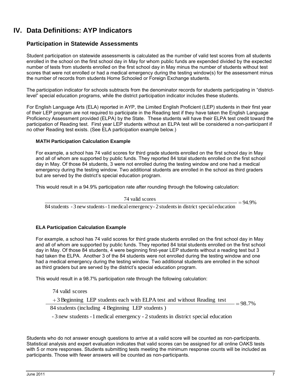### <span id="page-12-0"></span>**IV. Data Definitions: AYP Indicators**

### <span id="page-12-1"></span>**Participation in Statewide Assessments**

Student participation on statewide assessments is calculated as the number of valid test scores from all students enrolled in the school on the first school day in May for whom public funds are expended divided by the expected number of tests from students enrolled on the first school day in May minus the number of students without test scores that were not enrolled or had a medical emergency during the testing window(s) for the assessment minus the number of records from students Home Schooled or Foreign Exchange students.

The participation indicator for schools subtracts from the denominator records for students participating in "districtlevel" special education programs, while the district participation indicator includes these students.

For English Language Arts (ELA) reported in AYP, the Limited English Proficient (LEP) students in their first year of their LEP program are not required to participate in the Reading test if they have taken the English Language Proficiency Assessment provided (ELPA) by the State. These students will have their ELPA test credit toward the participation of Reading test. First year LEP students without an ELPA test will be considered a non-participant if no other Reading test exists. (See ELA participation example below.)

#### **MATH Participation Calculation Example**

For example, a school has 74 valid scores for third grade students enrolled on the first school day in May and all of whom are supported by public funds. They reported 84 total students enrolled on the first school day in May. Of those 84 students, 3 were not enrolled during the testing window and one had a medical emergency during the testing window. Two additional students are enrolled in the school as third graders but are served by the district's special education program.

This would result in a 94.9% participation rate after rounding through the following calculation:

74 valid scores

 $=94.9%$ 

84 students - 3 new students - 1 medical emergency - 2 students in district special education

### **ELA Participation Calculation Example**

For example, a school has 74 valid scores for third grade students enrolled on the first school day in May and all of whom are supported by public funds. They reported 84 total students enrolled on the first school day in May. Of those 84 students, 4 were beginning first-year LEP students without a reading test but 3 had taken the ELPA. Another 3 of the 84 students were not enrolled during the testing window and one had a medical emergency during the testing window. Two additional students are enrolled in the school as third graders but are served by the district"s special education program.

This would result in a 98.7% participation rate through the following calculation:

74 valid scores

 $=98.7%$ +3 Beginning LEP students each with ELPA test and without Reading test

84 students (including 4 Beginning LEP students )

- 3 new students -1medical emergency - 2 students in district special education

Students who do not answer enough questions to arrive at a valid score will be counted as non-participants. Statistical analysis and expert evaluation indicates that valid scores can be assigned for all online OAKS tests with 5 or more responses. Students submitting tests meeting the minimum response counts will be included as participants. Those with fewer answers will be counted as non-participants.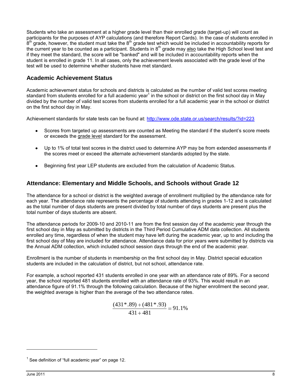Students who take an assessment at a higher grade level than their enrolled grade (target-up) will count as participants for the purposes of AYP calculations (and therefore Report Cards). In the case of students enrolled in  $8<sup>th</sup>$  grade, however, the student must take the  $8<sup>th</sup>$  grade test which would be included in accountability reports for the current year to be counted as a participant. Students in 8<sup>th</sup> grade may also take the High School level test and if they meet the standard, the score will be "banked" and will be included in accountability reports when the student is enrolled in grade 11. In all cases, only the achievement levels associated with the grade level of the test will be used to determine whether students have met standard.

### <span id="page-13-0"></span>**Academic Achievement Status**

Academic achievement status for schools and districts is calculated as the number of valid test scores meeting standard from students enrolled for a full academic year<sup>1</sup> in the school or district on the first school day in May divided by the number of valid test scores from students enrolled for a full academic year in the school or district on the first school day in May.

Achievement standards for state tests can be found at:<http://www.ode.state.or.us/search/results/?id=223>

- Scores from targeted up assessments are counted as Meeting the standard if the student's score meets or exceeds the grade level standard for the assessment.
- Up to 1% of total test scores in the district used to determine AYP may be from extended assessments if the scores meet or exceed the alternate achievement standards adopted by the state.
- Beginning first year LEP students are excluded from the calculation of Academic Status.

### <span id="page-13-1"></span>**Attendance: Elementary and Middle Schools, and Schools without Grade 12**

The attendance for a school or district is the weighted average of enrollment multiplied by the attendance rate for each year. The attendance rate represents the percentage of students attending in grades 1-12 and is calculated as the total number of days students are present divided by total number of days students are present plus the total number of days students are absent.

The attendance periods for 2009-10 and 2010-11 are from the first session day of the academic year through the first school day in May as submitted by districts in the Third Period Cumulative ADM data collection. All students enrolled any time, regardless of when the student may have left during the academic year, up to and including the first school day of May are included for attendance. Attendance data for prior years were submitted by districts via the Annual ADM collection, which included school session days through the end of the academic year.

Enrollment is the number of students in membership on the first school day in May. District special education students are included in the calculation of district, but not school, attendance rate.

For example, a school reported 431 students enrolled in one year with an attendance rate of 89%. For a second year, the school reported 481 students enrolled with an attendance rate of 93%. This would result in an attendance figure of 91.1% through the following calculation. Because of the higher enrollment the second year, the weighted average is higher than the average of the two attendance rates.

$$
\frac{(431*.89) + (481*.93)}{431 + 481} = 91.1\%
$$

1

<sup>1</sup> See definition of "full academic year" on page 12.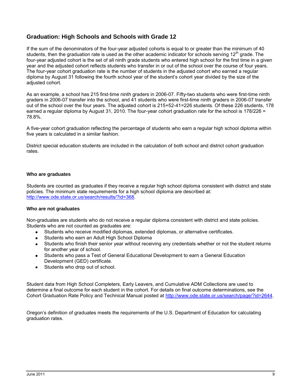### <span id="page-14-0"></span>**Graduation: High Schools and Schools with Grade 12**

If the sum of the denominators of the four-year adjusted cohorts is equal to or greater than the minimum of 40 students, then the graduation rate is used as the other academic indicator for schools serving 12<sup>th</sup> grade. The four-year adjusted cohort is the set of all ninth grade students who entered high school for the first time in a given year and the adjusted cohort reflects students who transfer in or out of the school over the course of four years. The four-year cohort graduation rate is the number of students in the adjusted cohort who earned a regular diploma by August 31 following the fourth school year of the student"s cohort year divided by the size of the adjusted cohort.

As an example, a school has 215 first-time ninth graders in 2006-07. Fifty-two students who were first-time ninth graders in 2006-07 transfer into the school, and 41 students who were first-time ninth graders in 2006-07 transfer out of the school over the four years. The adjusted cohort is 215+52-41=226 students. Of these 226 students, 178 earned a regular diploma by August 31, 2010. The four-year cohort graduation rate for the school is 178/226 = 78.8%.

A five-year cohort graduation reflecting the percentage of students who earn a regular high school diploma within five years is calculated in a similar fashion.

District special education students are included in the calculation of both school and district cohort graduation rates.

#### **Who are graduates**

Students are counted as graduates if they receive a regular high school diploma consistent with district and state policies. The minimum state requirements for a high school diploma are described at: [http://www.ode.state.or.us/search/results/?id=368.](http://www.ode.state.or.us/search/results/?id=368)

#### **Who are not graduates**

Non-graduates are students who do not receive a regular diploma consistent with district and state policies. Students who are not counted as graduates are:

- Students who receive modified diplomas, extended diplomas, or alternative certificates.
- Students who earn an Adult High School Diploma
- Students who finish their senior year without receiving any credentials whether or not the student returns  $\bullet$ for another year of school.
- Students who pass a Test of General Educational Development to earn a General Education Development (GED) certificate.
- Students who drop out of school.

Student data from High School Completers, Early Leavers, and Cumulative ADM Collections are used to determine a final outcome for each student in the cohort. For details on final outcome determinations, see the Cohort Graduation Rate Policy and Technical Manual posted at [http://www.ode.state.or.us/search/page/?id=2644.](http://www.ode.state.or.us/search/page/?id=2644)

Oregon"s definition of graduates meets the requirements of the U.S. Department of Education for calculating graduation rates.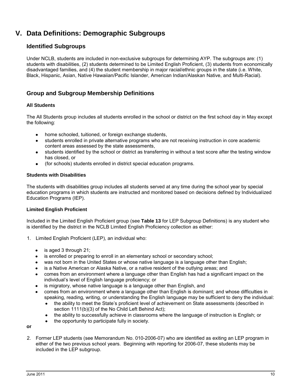### <span id="page-15-0"></span>**V. Data Definitions: Demographic Subgroups**

### <span id="page-15-1"></span>**Identified Subgroups**

Under NCLB, students are included in non-exclusive subgroups for determining AYP. The subgroups are: (1) students with disabilities, (2) students determined to be Limited English Proficient, (3) students from economically disadvantaged families, and (4) the student membership in major racial/ethnic groups in the state (i.e. White, Black, Hispanic, Asian, Native Hawaiian/Pacific Islander, American Indian/Alaskan Native, and Multi-Racial).

### <span id="page-15-2"></span>**Group and Subgroup Membership Definitions**

### **All Students**

The All Students group includes all students enrolled in the school or district on the first school day in May except the following:

- home schooled, tuitioned, or foreign exchange students,
- students enrolled in private alternative programs who are not receiving instruction in core academic  $\bullet$ content areas assessed by the state assessments,
- students identified by the school or district as transferring in without a test score after the testing window  $\bullet$ has closed, or
- (for schools) students enrolled in district special education programs.

#### **Students with Disabilities**

The students with disabilities group includes all students served at any time during the school year by special education programs in which students are instructed and monitored based on decisions defined by Individualized Education Programs (IEP).

### **Limited English Proficient**

Included in the Limited English Proficient group (see **[Table 13](#page-42-0)** for LEP Subgroup Definitions) is any student who is identified by the district in the NCLB Limited English Proficiency collection as either:

- 1. Limited English Proficient (LEP), an individual who:
	- is aged 3 through 21;
	- is enrolled or preparing to enroll in an elementary school or secondary school;  $\bullet$
	- was not born in the United States or whose native language is a language other than English;
	- is a Native American or Alaska Native, or a native resident of the outlying areas; and
	- comes from an environment where a language other than English has had a significant impact on the individual"s level of English language proficiency; or
	- is migratory, whose native language is a language other than English, and
	- comes from an environment where a language other than English is dominant; and whose difficulties in speaking, reading, writing, or understanding the English language may be sufficient to deny the individual:
		- the ability to meet the State"s proficient level of achievement on State assessments (described in  $\bullet$ section 1111(b)(3) of the No Child Left Behind Act);
		- $\bullet$ the ability to successfully achieve in classrooms where the language of instruction is English; or
		- the opportunity to participate fully in society.

**or**

2. Former LEP students (see Memorandum No. 010-2006-07) who are identified as exiting an LEP program in either of the two previous school years. Beginning with reporting for 2006-07, these students may be included in the LEP subgroup.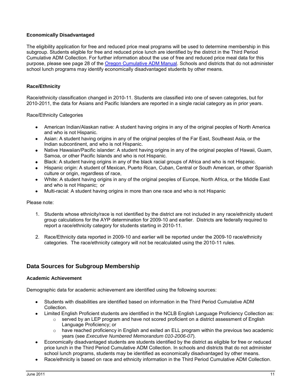### **Economically Disadvantaged**

The eligibility application for free and reduced price meal programs will be used to determine membership in this subgroup. Students eligible for free and reduced price lunch are identified by the district in the Third Period Cumulative ADM Collection. For further information about the use of free and reduced price meal data for this purpose, please see page 28 of the [Oregon Cumulative ADM Manual.](https://district.ode.state.or.us/apps/info/docs/2010-11_Cumulative_ADM_Manual_5-2-11.pdf) Schools and districts that do not administer school lunch programs may identify economically disadvantaged students by other means.

### **Race/Ethnicity**

Race/ethnicity classification changed in 2010-11. Students are classified into one of seven categories, but for 2010-2011, the data for Asians and Pacific Islanders are reported in a single racial category as in prior years.

Race/Ethnicity Categories

- American Indian/Alaskan native: A student having origins in any of the original peoples of North America and who is not Hispanic.
- Asian: A student having origins in any of the original peoples of the Far East, Southeast Asia, or the Indian subcontinent, and who is not Hispanic.
- Native Hawaiian/Pacific islander: A student having origins in any of the original peoples of Hawaii, Guam, Samoa, or other Pacific Islands and who is not Hispanic.
- Black: A student having origins in any of the black racial groups of Africa and who is not Hispanic.
- Hispanic origin: A student of Mexican, Puerto Rican, Cuban, Central or South American, or other Spanish culture or origin, regardless of race,
- White: A student having origins in any of the original peoples of Europe, North Africa, or the Middle East  $\bullet$ and who is not Hispanic; or
- Multi-racial: A student having origins in more than one race and who is not Hispanic

#### Please note:

- 1. Students whose ethnicity/race is not identified by the district are not included in any race/ethnicity student group calculations for the AYP determination for 2009-10 and earlier. Districts are federally required to report a race/ethnicity category for students starting in 2010-11.
- 2. Race/Ethnicity data reported in 2009-10 and earlier will be reported under the 2009-10 race/ethnicity categories. The race/ethnicity category will not be recalculated using the 2010-11 rules.

### <span id="page-16-0"></span>**Data Sources for Subgroup Membership**

#### **Academic Achievement**

Demographic data for academic achievement are identified using the following sources:

- Students with disabilities are identified based on information in the Third Period Cumulative ADM Collection.
- Limited English Proficient students are identified in the NCLB English Language Proficiency Collection as:
	- $\circ$  served by an LEP program and have not scored proficient on a district assessment of English Language Proficiency; or
	- $\circ$  have reached proficiency in English and exited an ELL program within the previous two academic years (see *Executive Numbered Memorandum 010-2006-07*).
- Economically disadvantaged students are students identified by the district as eligible for free or reduced price lunch in the Third Period Cumulative ADM Collection. In schools and districts that do not administer school lunch programs, students may be identified as economically disadvantaged by other means.
- Race/ethnicity is based on race and ethnicity information in the Third Period Cumulative ADM Collection.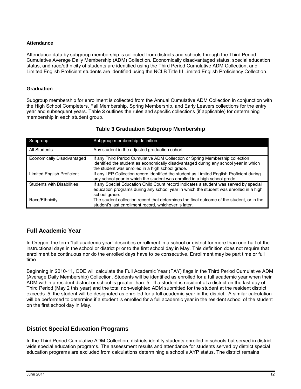#### **Attendance**

Attendance data by subgroup membership is collected from districts and schools through the Third Period Cumulative Average Daily Membership (ADM) Collection. Economically disadvantaged status, special education status, and race/ethnicity of students are identified using the Third Period Cumulative ADM Collection, and Limited English Proficient students are identified using the NCLB Title III Limited English Proficiency Collection.

#### **Graduation**

Subgroup membership for enrollment is collected from the Annual Cumulative ADM Collection in conjunction with the High School Completers, Fall Membership, Spring Membership, and Early Leavers collections for the entry year and subsequent years. [Table](#page-17-2) **3** outlines the rules and specific collections (if applicable) for determining membership in each student group.

<span id="page-17-2"></span>

| Subgroup                          | Subgroup membership definition:                                                                                                                                                                                           |
|-----------------------------------|---------------------------------------------------------------------------------------------------------------------------------------------------------------------------------------------------------------------------|
| All Students                      | Any student in the adjusted graduation cohort.                                                                                                                                                                            |
| Economically Disadvantaged        | If any Third Period Cumulative ADM Collection or Spring Membership collection<br>identified the student as economically disadvantaged during any school year in which<br>the student was enrolled in a high school grade. |
| Limited English Proficient        | If any LEP Collection record identified the student as Limited English Proficient during<br>any school year in which the student was enrolled in a high school grade.                                                     |
| <b>Students with Disabilities</b> | If any Special Education Child Count record indicates a student was served by special<br>education programs during any school year in which the student was enrolled in a high<br>school grade.                           |
| Race/Ethnicity                    | The student collection record that determines the final outcome of the student, or in the<br>student's last enrollment record, whichever is later.                                                                        |

### **Table 3 Graduation Subgroup Membership**

### <span id="page-17-0"></span>**Full Academic Year**

In Oregon, the term "full academic year" describes enrollment in a school or district for more than one-half of the instructional days in the school or district prior to the first school day in May. This definition does not require that enrollment be continuous nor do the enrolled days have to be consecutive. Enrollment may be part time or full time.

<span id="page-17-1"></span>Beginning in 2010-11, ODE will calculate the Full Academic Year (FAY) flags in the Third Period Cumulative ADM (Average Daily Membership) Collection. Students will be identified as enrolled for a full academic year when their ADM within a resident district or school is greater than .5. If a student is resident at a district on the last day of Third Period (May 2 this year) and the total non-weighted ADM submitted for the student at the resident district exceeds .5, the student will be designated as enrolled for a full academic year in the district. A similar calculation will be performed to determine if a student is enrolled for a full academic year in the resident school of the student on the first school day in May.

### **District Special Education Programs**

In the Third Period Cumulative ADM Collection, districts identify students enrolled in schools but served in districtwide special education programs. The assessment results and attendance for students served by district special education programs are excluded from calculations determining a school"s AYP status. The district remains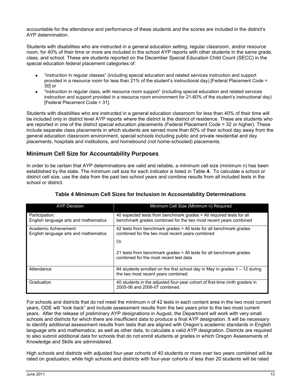accountable for the attendance and performance of these students and the scores are included in the district"s AYP determination.

Students with disabilities who are instructed in a general education setting, regular classroom, and/or resource room, for 40% of their time or more are included in the school AYP reports with other students in the same grade, class, and school. These are students reported on the December Special Education Child Count (SECC) in the special education federal placement categories of:

- "instruction in regular classes" (including special education and related services instruction and support provided in a resource room for less than 21% of the student"s instructional day) [Federal Placement Code = 30] or
- "instruction in regular class, with resource room support" (including special education and related services  $\bullet$ instruction and support provided in a resource room environment for 21-60% of the student"s instructional day) [Federal Placement Code = 31].

Students with disabilities who are instructed in a general education classroom for less than 40% of their time will be included only in district level AYP reports where the district is the district of residence. These are students who are reported in one of the district special education placements (Federal Placement Code = 32 or higher). These include separate class placements in which students are served more than 60% of their school day away from the general education classroom environment, special schools including public and private residential and day placements, hospitals and institutions, and homebound (not home-schooled) placements.

### **Minimum Cell Size for Accountability Purposes**

In order to be certain that AYP determinations are valid and reliable, a minimum cell size (minimum n) has been established by the state. The minimum cell size for each indicator is listed in [Table](#page-18-1) **4**. To calculate a school or district cell size, use the data from the past two school years and combine results from all included tests in the school or district.

<span id="page-18-1"></span>

| <b>AYP Decision</b>                                            | Minimum Cell Size (Minimum n) Required                                                                                                   |
|----------------------------------------------------------------|------------------------------------------------------------------------------------------------------------------------------------------|
| Participation:<br>English language arts and mathematics        | 40 expected tests from benchmark grades = All required tests for all<br>benchmark grades combined for the two most recent years combined |
| Academic Achievement:<br>English language arts and mathematics | 42 tests from benchmark grades $=$ All tests for all benchmark grades<br>combined for the two most recent years combined<br>Or           |
|                                                                | 21 tests from benchmark grades = All tests for all benchmark grades<br>combined for the most recent test data                            |
| Attendance                                                     | 84 students enrolled on the first school day in May in grades $1 - 12$ during<br>the two most recent years combined                      |
| Graduation                                                     | 40 students in the adjusted four-year cohort of first-time ninth graders in<br>2005-06 and 2006-07 combined.                             |

### <span id="page-18-0"></span>**Table 4 Minimum Cell Sizes for Inclusion in Accountability Determinations**

For schools and districts that do not meet the minimum n of 42 tests in each content area in the two most current years, ODE will "look back" and include assessment results from the two years prior to the two most current years. After the release of preliminary AYP designations in August, the Department will work with very small schools and districts for which there are insufficient data to produce a final AYP designation. It will be necessary to identify additional assessment results from tests that are aligned with Oregon"s academic standards in English language arts and mathematics, as well as other data, to calculate a valid AYP designation. Districts are required to also submit additional data for schools that do not enroll students at grades in which Oregon Assessments of Knowledge and Skills are administered.

High schools and districts with adjusted four-year cohorts of 40 students or more over two years combined will be rated on graduation, while high schools and districts with four-year cohorts of less than 20 students will be rated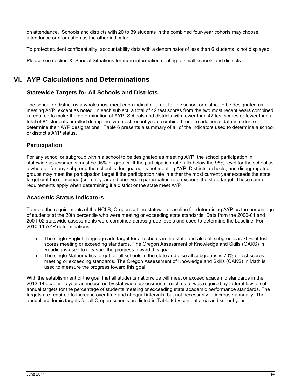on attendance. Schools and districts with 20 to 39 students in the combined four-year cohorts may choose attendance or graduation as the other indicator.

To protect student confidentiality, accountability data with a denominator of less than 6 students is not displayed.

<span id="page-19-0"></span>Please see section [X. Special Situations](#page-29-1) for more information relating to small schools and districts.

### **VI. AYP Calculations and Determinations**

### <span id="page-19-1"></span>**Statewide Targets for All Schools and Districts**

The school or district as a whole must meet each indicator target for the school or district to be designated as meeting AYP, except as noted. In each subject, a total of 42 test scores from the two most recent years combined is required to make the determination of AYP. Schools and districts with fewer than 42 test scores or fewer than a total of 84 students enrolled during the two most recent years combined require additional data in order to determine their AYP designations. [Table 6](#page-21-0) presents a summary of all of the indicators used to determine a school or district"s AYP status.

### <span id="page-19-2"></span>**Participation**

For any school or subgroup within a school to be designated as meeting AYP, the school participation in statewide assessments must be 95% or greater. If the participation rate falls below the 95% level for the school as a whole or for any subgroup the school is designated as not meeting AYP. Districts, schools, and disaggregated groups may meet the participation target if the participation rate in either the most current year exceeds the state target or if the combined (current year and prior year) participation rate exceeds the state target. These same requirements apply when determining if a district or the state meet AYP.

### <span id="page-19-3"></span>**Academic Status Indicators**

To meet the requirements of the NCLB, Oregon set the statewide baseline for determining AYP as the percentage of students at the 20th percentile who were meeting or exceeding state standards. Data from the 2000-01 and 2001-02 statewide assessments were combined across grade levels and used to determine the baseline. For 2010-11 AYP determinations:

- The single English language arts target for all schools in the state and also all subgroups is 70% of test scores meeting or exceeding standards. The Oregon Assessment of Knowledge and Skills (OAKS) in Reading is used to measure the progress toward this goal.
- The single Mathematics target for all schools in the state and also all subgroups is 70% of test scores meeting or exceeding standards. The Oregon Assessment of Knowledge and Skills (OAKS) in Math is used to measure the progress toward this goal.

With the establishment of the goal that all students nationwide will meet or exceed academic standards in the 2013-14 academic year as measured by statewide assessments, each state was required by federal law to set annual targets for the percentage of students meeting or exceeding state academic performance standards. The targets are required to increase over time and at equal intervals, but not necessarily to increase annually. The annual academic targets for all Oregon schools are listed in [Table](#page-20-3) **5** by content area and school year.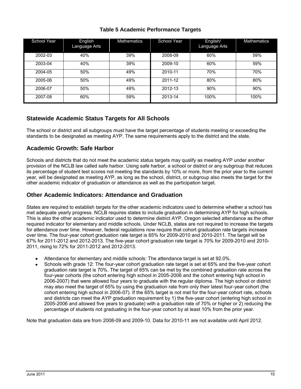| <b>Table 5 Academic Performance Targets</b> |  |  |
|---------------------------------------------|--|--|
|---------------------------------------------|--|--|

<span id="page-20-3"></span>

| School Year | English<br>Language Arts | <b>Mathematics</b> | School Year | English/<br>Language Arts | <b>Mathematics</b> |
|-------------|--------------------------|--------------------|-------------|---------------------------|--------------------|
| 2002-03     | 40%                      | 39%                | 2008-09     | 60%                       | 59%                |
| 2003-04     | 40%                      | 39%                | 2009-10     | 60%                       | 59%                |
| 2004-05     | 50%                      | 49%                | 2010-11     | 70%                       | 70%                |
| 2005-06     | 50%                      | 49%                | 2011-12     | 80%                       | 80%                |
| 2006-07     | 50%                      | 49%                | 2012-13     | 90%                       | 90%                |
| 2007-08     | 60%                      | 59%                | 2013-14     | 100%                      | 100%               |

### <span id="page-20-0"></span>**Statewide Academic Status Targets for All Schools**

The school or district and all subgroups must have the target percentage of students meeting or exceeding the standards to be designated as meeting AYP. The same requirements apply to the district and the state.

### <span id="page-20-1"></span>**Academic Growth: Safe Harbor**

Schools and districts that do not meet the academic status targets may qualify as meeting AYP under another provision of the NCLB law called safe harbor. Using safe harbor, a school or district or any subgroup that reduces its percentage of student test scores not meeting the standards by 10% or more, from the prior year to the current year, will be designated as meeting AYP, as long as the school, district, or subgroup also meets the target for the other academic indicator of graduation or attendance as well as the participation target.

### <span id="page-20-2"></span>**Other Academic Indicators: Attendance and Graduation**

States are required to establish targets for the other academic indicators used to determine whether a school has met adequate yearly progress. NCLB requires states to include graduation in determining AYP for high schools. This is also the other academic indicator used to determine district AYP. Oregon selected attendance as the other required indicator for elementary and middle schools. Under NCLB, states are not required to increase the targets for attendance over time. However, federal regulations now require that cohort graduation rate targets increase over time. The four-year cohort graduation rate target is 65% for 2009-2010 and 2010-2011. The target will be 67% for 2011-2012 and 2012-2013. The five-year cohort graduation rate target is 70% for 2009-2010 and 2010- 2011, rising to 72% for 2011-2012 and 2012-2013.

- Attendance for elementary and middle schools: The attendance target is set at 92.0%.
- Schools with grade 12: The four-year cohort graduation rate target is set at 65% and the five-year cohort graduation rate target is 70%. The target of 65% can be met by the combined graduation rate across the four-year cohorts (the cohort entering high school in 2005-2006 and the cohort entering high school in 2006-2007) that were allowed four years to graduate with the regular diploma. The high school or district may also meet the target of 65% by using the graduation rate from only their latest four-year cohort (the cohort entering high school in 2006-07). If the 65% target is not met for the four-year cohort rate, schools and districts can meet the AYP graduation requirement by 1) the five-year cohort (entering high school in 2005-2006 and allowed five years to graduate) with a graduation rate of 70% or higher or 2) reducing the percentage of students not graduating in the four-year cohort by at least 10% from the prior year.

Note that graduation data are from 2008-09 and 2009-10. Data for 2010-11 are not available until April 2012.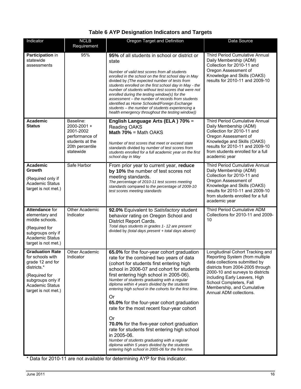### **Table 6 AYP Designation Indicators and Targets**

<span id="page-21-0"></span>

| Indicator                                                                                                                                                            | <b>NCLB</b><br>Requirement                                                                                 | Oregon Target and Definition                                                                                                                                                                                                                                                                                                                                                                                                                                                                                                                                                                                                                                                                                                                                     | Data Source                                                                                                                                                                                                                                                                                       |
|----------------------------------------------------------------------------------------------------------------------------------------------------------------------|------------------------------------------------------------------------------------------------------------|------------------------------------------------------------------------------------------------------------------------------------------------------------------------------------------------------------------------------------------------------------------------------------------------------------------------------------------------------------------------------------------------------------------------------------------------------------------------------------------------------------------------------------------------------------------------------------------------------------------------------------------------------------------------------------------------------------------------------------------------------------------|---------------------------------------------------------------------------------------------------------------------------------------------------------------------------------------------------------------------------------------------------------------------------------------------------|
| Participation in<br>statewide<br>assessments                                                                                                                         | 95%                                                                                                        | 95% of all students in school or district or<br>state<br>Number of valid test scores from all students<br>enrolled in the school on the first school day in May<br>divided by (The expected number of tests from<br>students enrolled on the first school day in May - the<br>number of students without test scores that were not<br>enrolled during the testing window(s) for the<br>assessment - the number of records from students<br>identified as Home Schooled/Foreign Exchange<br>students - the number of students experiencing a<br>health emergency throughout the testing window))                                                                                                                                                                  | <b>Third Period Cumulative Annual</b><br>Daily Membership (ADM)<br>Collection for 2010-11 and<br>Oregon Assessment of<br>Knowledge and Skills (OAKS)<br>results for 2010-11 and 2009-10                                                                                                           |
| Academic<br><b>Status</b>                                                                                                                                            | Baseline:<br>2000-2001 +<br>2001-2002<br>performance of<br>students at the<br>20th percentile<br>statewide | English Language Arts (ELA) 70% =<br>Reading OAKS<br>Math $70\%$ = Math OAKS<br>Number of test scores that meet or exceed state<br>standards divided by number of test scores from<br>students enrolled for a full academic year on the first<br>school day in May                                                                                                                                                                                                                                                                                                                                                                                                                                                                                               | <b>Third Period Cumulative Annual</b><br>Daily Membership (ADM)<br>Collection for 2010-11 and<br>Oregon Assessment of<br>Knowledge and Skills (OAKS)<br>results for 2010-11 and 2009-10<br>from students enrolled for a full<br>academic year                                                     |
| Academic<br>Growth<br>(Required only if<br><b>Academic Status</b><br>target is not met.)                                                                             | Safe Harbor                                                                                                | From prior year to current year, reduce<br>by 10% the number of test scores not<br>meeting standards.<br>The percentage of 2010-11 test scores meeting<br>standards compared to the percentage of 2009-10<br>test scores meeting standards                                                                                                                                                                                                                                                                                                                                                                                                                                                                                                                       | <b>Third Period Cumulative Annual</b><br>Daily Membership (ADM)<br>Collection for 2010-11 and<br>Oregon Assessment of<br>Knowledge and Skills (OAKS)<br>results for 2010-11 and 2009-10<br>from students enrolled for a full<br>academic year                                                     |
| Attendance for<br>elementary and<br>middle schools.<br>(Required for<br>subgroups only if<br><b>Academic Status</b><br>target is not met.)                           | Other Academic<br>Indicator                                                                                | 92.0% Equivalent to Satisfactory student<br>behavior rating on Oregon School and<br>District Report Cards.<br>Total days students in grades 1- 12 are present<br>divided by (total days present + total days absent)                                                                                                                                                                                                                                                                                                                                                                                                                                                                                                                                             | Third Period Cumulative ADM<br>Collections for 2010-11 and 2009-<br>10                                                                                                                                                                                                                            |
| <b>Graduation Rate</b><br>for schools with<br>grade 12 and for<br>districts.*<br>(Required for<br>subgroups only if<br><b>Academic Status</b><br>target is not met.) | <b>Other Academic</b><br>Indicator                                                                         | 65.0% for the four-year cohort graduation<br>rate for the combined two years of data<br>(cohort for students first entering high<br>school in 2006-07 and cohort for students<br>first entering high school in 2005-06).<br>Number of students graduating with a regular<br>diploma within 4 years divided by the students<br>entering high school in the cohorts for the first time.<br>0r<br>65.0% for the four-year cohort graduation<br>rate for the most recent four-year cohort<br>Or<br>70.0% for the five-year cohort graduation<br>rate for students first entering high school<br>in 2005-06.<br>Number of students graduating with a regular<br>diploma within 5 years divided by the students<br>entering high school in 2005-06 for the first time. | Longitudinal Cohort Tracking and<br>Reporting System (from multiple<br>data collections submitted by<br>districts from 2004-2005 through<br>2000-10 and surveys to districts<br>including Early Leavers, High<br>School Completers, Fall<br>Membership, and Cumulative<br>Annual ADM collections. |

\* Data for 2010-11 are not available for determining AYP for this indicator.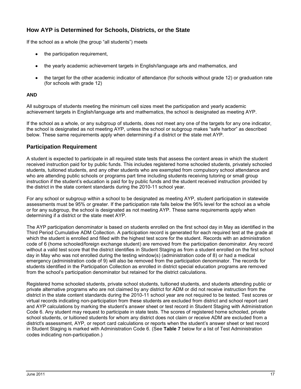### <span id="page-22-0"></span>**How AYP is Determined for Schools, Districts, or the State**

If the school as a whole (the group "all students") meets

- the participation requirement,
- the yearly academic achievement targets in English/language arts and mathematics, and
- the target for the other academic indicator of attendance (for schools without grade 12) or graduation rate (for schools with grade 12)

#### **AND**

All subgroups of students meeting the minimum cell sizes meet the participation and yearly academic achievement targets in English/language arts and mathematics, the school is designated as meeting AYP.

If the school as a whole, or any subgroup of students, does not meet any one of the targets for any one indicator, the school is designated as not meeting AYP, unless the school or subgroup makes "safe harbor" as described below. These same requirements apply when determining if a district or the state met AYP.

### <span id="page-22-1"></span>**Participation Requirement**

A student is expected to participate in all required state tests that assess the content areas in which the student received instruction paid for by public funds. This includes registered home schooled students, privately schooled students, tuitioned students, and any other students who are exempted from compulsory school attendance and who are attending public schools or programs part time including students receiving tutoring or small group instruction if the student"s education is paid for by public funds and the student received instruction provided by the district in the state content standards during the 2010-11 school year.

For any school or subgroup within a school to be designated as meeting AYP, student participation in statewide assessments must be 95% or greater. If the participation rate falls below the 95% level for the school as a whole or for any subgroup, the school is designated as not meeting AYP. These same requirements apply when determining if a district or the state meet AYP.

The AYP participation denominator is based on students enrolled on the first school day in May as identified in the Third Period Cumulative ADM Collection. A participation record is generated for each required test at the grade at which the student is enrolled and filled with the highest test score for the student. Records with an administration code of 6 (home schooled/foreign exchange student) are removed from the participation denominator. Any record without a valid test score that the district identifies in Student Staging as from a student enrolled on the first school day in May who was not enrolled during the testing window(s) (administration code of 8) or had a medical emergency (administration code of 9) will also be removed from the participation denominator. The records for students identified in the Participation Collection as enrolled in district special education programs are removed from the school"s participation denominator but retained for the district calculations.

Registered home schooled students, private school students, tuitioned students, and students attending public or private alternative programs who are not claimed by any district for ADM or did not receive instruction from the district in the state content standards during the 2010-11 school year are not required to be tested. Test scores or virtual records indicating non-participation from these students are excluded from district and school report card and AYP calculations by marking the student's answer sheet or test record in Student Staging with Administration Code 6. Any student may request to participate in state tests. The scores of registered home schooled, private school students, or tuitioned students for whom any district does not claim or receive ADM are excluded from a district's assessment, AYP, or report card calculations or reports when the student"s answer sheet or test record in Student Staging is marked with Administration Code 6. (See **[Table 7](#page-23-2)** below for a list of Test Administration codes indicating non-participation.)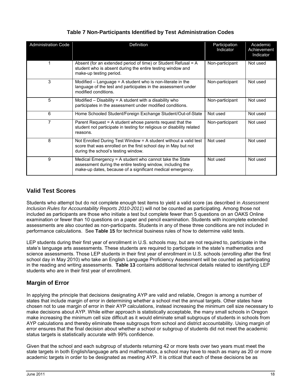<span id="page-23-2"></span>

| <b>Administration Code</b> | Definition                                                                                                                                                                          | Participation<br>Indicator | Academic<br>Achievement<br>Indicator |
|----------------------------|-------------------------------------------------------------------------------------------------------------------------------------------------------------------------------------|----------------------------|--------------------------------------|
|                            | Absent (for an extended period of time) or Student Refusal = A<br>student who is absent during the entire testing window and<br>make-up testing period.                             | Non-participant            | Not used                             |
| 3                          | Modified $-$ Language = A student who is non-literate in the<br>language of the test and participates in the assessment under<br>modified conditions.                               | Non-participant            | Not used                             |
| 5                          | Modified $-$ Disability = A student with a disability who<br>participates in the assessment under modified conditions.                                                              | Non-participant            | Not used                             |
| 6                          | Home Schooled Student/Foreign Exchange Student/Out-of-State                                                                                                                         | Not used                   | Not used                             |
| $\overline{7}$             | Parent Request = A student whose parents request that the<br>student not participate in testing for religious or disability related<br>reasons.                                     | Non-participant            | Not used                             |
| 8                          | Not Enrolled During Test Window = A student without a valid test<br>score that was enrolled on the first school day in May but not<br>during the school's testing window.           | Not used                   | Not used                             |
| 9                          | Medical Emergency = A student who cannot take the State<br>assessment during the entire testing window, including the<br>make-up dates, because of a significant medical emergency. | Not used                   | Not used                             |

### **Table 7 Non-Participants Identified by Test Administration Codes**

### <span id="page-23-0"></span>**Valid Test Scores**

Students who attempt but do not complete enough test items to yield a valid score (as described in *Assessment Inclusion Rules for Accountability Reports 2010-2011*) will not be counted as participating. Among those not included as participants are those who initiate a test but complete fewer than 5 questions on an OAKS Online examination or fewer than 10 questions on a paper and pencil examination. Students with incomplete extended assessments are also counted as non-participants. Students in any of these three conditions are not included in performance calculations. See **[Table 15](#page-44-0)** for technical business rules of how to determine valid tests.

LEP students during their first year of enrollment in U.S. schools may, but are not required to, participate in the state's language arts assessments. These students are required to participate in the state's mathematics and science assessments. Those LEP students in their first year of enrollment in U.S. schools (enrolling after the first school day in May 2010) who take an English Language Proficiency Assessment will be counted as participating in the reading and writing assessments. **[Table 13](#page-42-0)** contains additional technical details related to identifying LEP students who are in their first year of enrollment.

### <span id="page-23-1"></span>**Margin of Error**

In applying the principle that decisions designating AYP are valid and reliable, Oregon is among a number of states that include margin of error in determining whether a school met the annual targets. Other states have chosen not to use margin of error in their AYP calculations, instead increasing the minimum cell size necessary to make decisions about AYP. While either approach is statistically acceptable, the many small schools in Oregon make increasing the minimum cell size difficult as it would eliminate small subgroups of students in schools from AYP calculations and thereby eliminate these subgroups from school and district accountability. Using margin of error ensures that the final decision about whether a school or subgroup of students did not meet the academic status targets is statistically accurate with 99% confidence.

Given that the school and each subgroup of students returning 42 or more tests over two years must meet the state targets in both English/language arts and mathematics, a school may have to reach as many as 20 or more academic targets in order to be designated as meeting AYP. It is critical that each of these decisions be as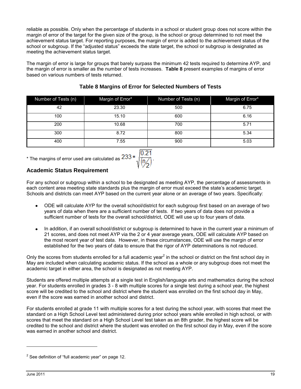reliable as possible. Only when the percentage of students in a school or student group does not score within the margin of error of the target for the given size of the group, is the school or group determined to not meet the achievement status target. For reporting purposes, the margin of error is added to the achievement status of the school or subgroup. If the "adjusted status" exceeds the state target, the school or subgroup is designated as meeting the achievement status target.

The margin of error is large for groups that barely surpass the minimum 42 tests required to determine AYP, and the margin of error is smaller as the number of tests increases. **[Table 8](#page-24-0)** present examples of margins of error based on various numbers of tests returned.

<span id="page-24-0"></span>

| Number of Tests (n) | Margin of Error* | Number of Tests (n) | Margin of Error* |
|---------------------|------------------|---------------------|------------------|
| 42                  | 23.30            | 500                 | 6.75             |
| 100                 | 15.10            | 600                 | 6.16             |
| 200                 | 10.68            | 700                 | 5.71             |
| 300                 | 8.72             | 800                 | 5.34             |
| 400                 | 7.55             | 900                 | 5.03             |

### **Table 8 Margins of Error for Selected Numbers of Tests**

\* The margins of error used are calculated as  $233$ 



### **Academic Status Requirement**

For any school or subgroup within a school to be designated as meeting AYP, the percentage of assessments in each content area meeting state standards plus the margin of error must exceed the state's academic target. Schools and districts can meet AYP based on the current year alone or an average of two years. Specifically:

- ODE will calculate AYP for the overall school/district for each subgroup first based on an average of two years of data when there are a sufficient number of tests. If two years of data does not provide a sufficient number of tests for the overall school/district, ODE will use up to four years of data.
- In addition, if an overall school/district or subgroup is determined to have in the current year a minimum of 21 scores, and does not meet AYP via the 2 or 4 year average years, ODE will calculate AYP based on the most recent year of test data. However, in these circumstances, ODE will use the margin of error established for the two years of data to ensure that the rigor of AYP determinations is not reduced.

Only the scores from students enrolled for a full academic year<sup>2</sup> in the school or district on the first school day in May are included when calculating academic status. If the school as a whole or any subgroup does not meet the academic target in either area, the school is designated as not meeting AYP.

Students are offered multiple attempts at a single test in English/language arts and mathematics during the school year. For students enrolled in grades 3 - 8 with multiple scores for a single test during a school year, the highest score will be credited to the school and district where the student was enrolled on the first school day in May, even if the score was earned in another school and district.

For students enrolled at grade 11 with multiple scores for a test during the school year, with scores that meet the standard on a High School Level test administered during prior school years while enrolled in high school, or with scores that meet the standard on a High School Level test taken as an 8th grader, the highest score will be credited to the school and district where the student was enrolled on the first school day in May, even if the score was earned in another school and district.

1

 $2$  See definition of "full academic year" on page 12.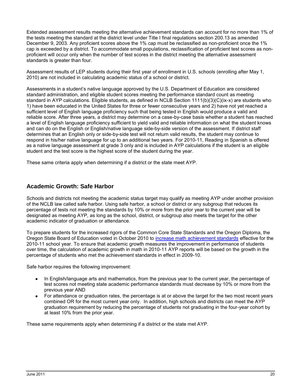Extended assessment results meeting the alternative achievement standards can account for no more than 1% of the tests meeting the standard at the district level under Title I final regulations section 200.13 as amended December 9, 2003. Any proficient scores above the 1% cap must be reclassified as non-proficient once the 1% cap is exceeded by a district. To accommodate small populations, reclassification of proficient test scores as nonproficient will occur only when the number of test scores in the district meeting the alternative assessment standards is greater than four.

Assessment results of LEP students during their first year of enrollment in U.S. schools (enrolling after May 1, 2010) are not included in calculating academic status of a school or district.

Assessments in a student"s native language approved by the U.S. Department of Education are considered standard administration, and eligible student scores meeting the performance standard count as meeting standard in AYP calculations. Eligible students, as defined in NCLB Section 1111(b)(3)(C)(ix-x) are students who 1) have been educated in the United States for three or fewer consecutive years and 2) have not yet reached a sufficient level of English language proficiency such that being tested in English would produce a valid and reliable score. After three years, a district may determine on a case-by-case basis whether a student has reached a level of English language proficiency sufficient to yield valid and reliable information on what the student knows and can do on the English or English/native language side-by-side version of the assessment. If district staff determines that an English only or side-by-side test will not return valid results, the student may continue to respond in his/her native language for up to an additional two years. For 2010-11, Reading in Spanish is offered as a native language assessment at grade 3 only and is included in AYP calculations if the student is an eligible student and the test score is the highest score of the student during the year.

<span id="page-25-0"></span>These same criteria apply when determining if a district or the state meet AYP.

### **Academic Growth: Safe Harbor**

Schools and districts not meeting the academic status target may qualify as meeting AYP under another provision of the NCLB law called safe harbor. Using safe harbor, a school or district or any subgroup that reduces its percentage of tests not meeting the standards by 10% or more from the prior year to the current year will be designated as meeting AYP, as long as the school, district, or subgroup also meets the target for the other academic indicator of graduation or attendance.

To prepare students for the increased rigors of the Common Core State Standards and the Oregon Diploma, the Oregon State Board of Education voted in October 2010 to [increase math achievement standards](http://www.ode.state.or.us/teachlearn/standards/contentperformance/achievementstds_1011.pdf) effective for the 2010-11 school year. To ensure that academic growth measures the improvement in performance of students over time, the calculation of academic growth in math in 2010-11 AYP reports will be based on the growth in the percentage of students who met the achievement standards in effect in 2009-10.

Safe harbor requires the following improvement:

- In English/language arts and mathematics, from the previous year to the current year, the percentage of test scores not meeting state academic performance standards must decrease by 10% or more from the previous year AND
- For attendance or graduation rates, the percentage is at or above the target for the two most recent years combined OR for the most current year only. In addition, high schools and districts can meet the AYP graduation requirement by reducing the percentage of students not graduating in the four-year cohort by at least 10% from the prior year.

<span id="page-25-1"></span>These same requirements apply when determining if a district or the state met AYP.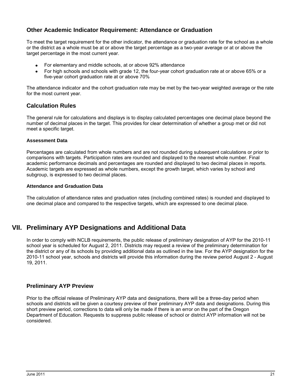### **Other Academic Indicator Requirement: Attendance or Graduation**

To meet the target requirement for the other indicator, the attendance or graduation rate for the school as a whole or the district as a whole must be at or above the target percentage as a two-year average or at or above the target percentage in the most current year.

- For elementary and middle schools, at or above 92% attendance
- For high schools and schools with grade 12, the four-year cohort graduation rate at or above 65% or a five-year cohort graduation rate at or above 70%

The attendance indicator and the cohort graduation rate may be met by the two-year weighted average or the rate for the most current year.

### <span id="page-26-0"></span>**Calculation Rules**

The general rule for calculations and displays is to display calculated percentages one decimal place beyond the number of decimal places in the target. This provides for clear determination of whether a group met or did not meet a specific target.

#### **Assessment Data**

Percentages are calculated from whole numbers and are not rounded during subsequent calculations or prior to comparisons with targets. Participation rates are rounded and displayed to the nearest whole number. Final academic performance decimals and percentages are rounded and displayed to two decimal places in reports. Academic targets are expressed as whole numbers, except the growth target, which varies by school and subgroup, is expressed to two decimal places.

#### **Attendance and Graduation Data**

<span id="page-26-1"></span>The calculation of attendance rates and graduation rates (including combined rates) is rounded and displayed to one decimal place and compared to the respective targets, which are expressed to one decimal place.

### **VII. Preliminary AYP Designations and Additional Data**

In order to comply with NCLB requirements, the public release of preliminary designation of AYP for the 2010-11 school year is scheduled for August 2, 2011. Districts may request a review of the preliminary determination for the district or any of its schools by providing additional data as outlined in the law. For the AYP designation for the 2010-11 school year, schools and districts will provide this information during the review period August 2 - August 19, 2011.

### <span id="page-26-2"></span>**Preliminary AYP Preview**

<span id="page-26-3"></span>Prior to the official release of Preliminary AYP data and designations, there will be a three-day period when schools and districts will be given a courtesy preview of their preliminary AYP data and designations. During this short preview period, corrections to data will only be made if there is an error on the part of the Oregon Department of Education. Requests to suppress public release of school or district AYP information will not be considered.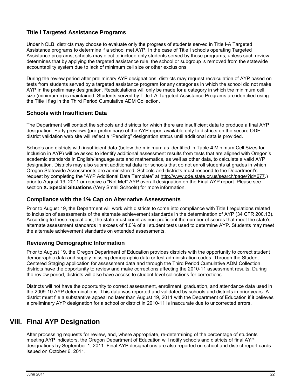### **Title I Targeted Assistance Programs**

Under NCLB, districts may choose to evaluate only the progress of students served in Title I-A Targeted Assistance programs to determine if a school met AYP. In the case of Title I schools operating Targeted Assistance programs, schools may elect to include only students served by those programs, unless such review determines that by applying the targeted assistance rule, the school or subgroup is removed from the statewide accountability system due to lack of minimum cell size or other exclusions.

During the review period after preliminary AYP designations, districts may request recalculation of AYP based on tests from students served by a targeted assistance program for any categories in which the school did not make AYP in the preliminary designation. Recalculations will only be made for a category in which the minimum cell size (minimum n) is maintained. Students served by Title I-A Targeted Assistance Programs are identified using the Title I flag in the Third Period Cumulative ADM Collection.

### <span id="page-27-0"></span>**Schools with Insufficient Data**

The Department will contact the schools and districts for which there are insufficient data to produce a final AYP designation. Early previews (pre-preliminary) of the AYP report available only to districts on the secure ODE district validation web site will reflect a "Pending" designation status until additional data is provided.

Schools and districts with insufficient data (below the minimum as identified in [Table](#page-18-1) **4** Minimum Cell Sizes for Inclusion in AYP) will be asked to identify additional assessment results from tests that are aligned with Oregon"s academic standards in English/language arts and mathematics, as well as other data, to calculate a valid AYP designation. Districts may also submit additional data for schools that do not enroll students at grades in which Oregon Statewide Assessments are administered. Schools and districts must respond to the Department"s request by completing the "AYP Additional Data Template" at [http://www.ode.state.or.us/search/page/?id=677.](http://www.ode.state.or.us/search/page/?id=677)) prior to August 19, 2011 or receive a "Not Met" AYP overall designation on the Final AYP report. Please see section **[X. Special Situations](#page-29-1)** (Very Small Schools) for more information.

### <span id="page-27-1"></span>**Compliance with the 1% Cap on Alternative Assessments**

Prior to August 19, the Department will work with districts to come into compliance with Title I regulations related to inclusion of assessments of the alternate achievement standards in the determination of AYP (34 CFR 200.13). According to these regulations, the state must count as non-proficient the number of scores that meet the state"s alternate assessment standards in excess of 1.0% of all student tests used to determine AYP. Students may meet the alternate achievement standards on extended assessments.

### <span id="page-27-2"></span>**Reviewing Demographic Information**

Prior to August 19, the Oregon Department of Education provides districts with the opportunity to correct student demographic data and supply missing demographic data or test administration codes. Through the Student Centered Staging application for assessment data and through the Third Period Cumulative ADM Collection, districts have the opportunity to review and make corrections affecting the 2010-11 assessment results. During the review period, districts will also have access to student level collections for corrections.

Districts will not have the opportunity to correct assessment, enrollment, graduation, and attendance data used in the 2009-10 AYP determinations. This data was reported and validated by schools and districts in prior years. A district must file a substantive appeal no later than August 19, 2011 with the Department of Education if it believes a preliminary AYP designation for a school or district in 2010-11 is inaccurate due to uncorrected errors.

### <span id="page-27-3"></span>**VIII. Final AYP Designation**

After processing requests for review, and, where appropriate, re-determining of the percentage of students meeting AYP indicators, the Oregon Department of Education will notify schools and districts of final AYP designations by September 1, 2011. Final AYP designations are also reported on school and district report cards issued on October 6, 2011.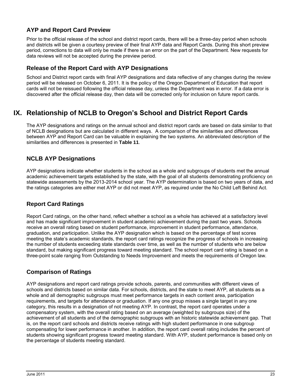### <span id="page-28-0"></span>**AYP and Report Card Preview**

Prior to the official release of the school and district report cards, there will be a three-day period when schools and districts will be given a courtesy preview of their final AYP data and Report Cards. During this short preview period, corrections to data will only be made if there is an error on the part of the Department. New requests for data reviews will not be accepted during the preview period.

### <span id="page-28-1"></span>**Release of the Report Card with AYP Designations**

School and District report cards with final AYP designations and data reflective of any changes during the review period will be released on October 6, 2011. It is the policy of the Oregon Department of Education that report cards will not be reissued following the official release day, unless the Department was in error. If a data error is discovered after the official release day, then data will be corrected only for inclusion on future report cards.

### <span id="page-28-2"></span>**IX. Relationship of NCLB to Oregon's School and District Report Cards**

The AYP designations and ratings on the annual school and district report cards are based on data similar to that of NCLB designations but are calculated in different ways. A comparison of the similarities and differences between AYP and Report Card can be valuable in explaining the two systems. An abbreviated description of the similarities and differences is presented in **[Table 11](#page-39-0)**.

### <span id="page-28-3"></span>**NCLB AYP Designations**

AYP designations indicate whether students in the school as a whole and subgroups of students met the annual academic achievement targets established by the state, with the goal of all students demonstrating proficiency on statewide assessments by the 2013-2014 school year. The AYP determination is based on two years of data, and the ratings categories are either met AYP or did not meet AYP, as required under the No Child Left Behind Act.

### <span id="page-28-4"></span>**Report Card Ratings**

Report Card ratings, on the other hand, reflect whether a school as a whole has achieved at a satisfactory level and has made significant improvement in student academic achievement during the past two years. Schools receive an overall rating based on student performance, improvement in student performance, attendance, graduation, and participation. Unlike the AYP designation which is based on the percentage of test scores meeting the state"s academic standards, the report card ratings recognize the progress of schools in increasing the number of students exceeding state standards over time, as well as the number of students who are below standard, but making significant progress toward meeting standard. The school report card rating is based on a three-point scale ranging from Outstanding to Needs Improvement and meets the requirements of Oregon law.

### <span id="page-28-5"></span>**Comparison of Ratings**

AYP designations and report card ratings provide schools, parents, and communities with different views of schools and districts based on similar data. For schools, districts, and the state to meet AYP, all students as a whole and all demographic subgroups must meet performance targets in each content area, participation requirements, and targets for attendance or graduation. If any one group misses a single target in any one category, this results in a designation of not meeting AYP. In contrast, the report card operates under a compensatory system, with the overall rating based on an average (weighted by subgroups size) of the achievement of all students and of the demographic subgroups with an historic statewide achievement gap. That is, on the report card schools and districts receive ratings with high student performance in one subgroup compensating for lower performance in another. In addition, the report card overall rating includes the percent of students showing significant progress toward meeting standard. With AYP, student performance is based only on the percentage of students meeting standard.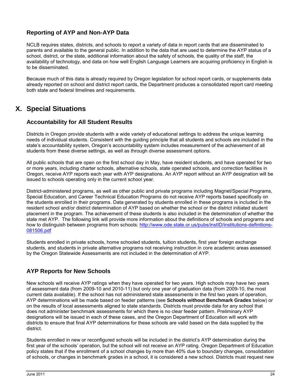### <span id="page-29-0"></span>**Reporting of AYP and Non-AYP Data**

NCLB requires states, districts, and schools to report a variety of data in report cards that are disseminated to parents and available to the general public. In addition to the data that are used to determine the AYP status of a school, district, or the state, additional information about the safety of schools, the quality of the staff, the availability of technology, and data on how well English Language Learners are acquiring proficiency in English is to be disseminated.

Because much of this data is already required by Oregon legislation for school report cards, or supplements data already reported on school and district report cards, the Department produces a consolidated report card meeting both state and federal timelines and requirements.

### <span id="page-29-1"></span>**X. Special Situations**

### <span id="page-29-2"></span>**Accountability for All Student Results**

Districts in Oregon provide students with a wide variety of educational settings to address the unique learning needs of individual students. Consistent with the guiding principle that all students and schools are included in the state's accountability system, Oregon's accountability system includes measurement of the achievement of all students from these diverse settings, as well as through diverse assessment options.

All public schools that are open on the first school day in May, have resident students, and have operated for two or more years, including charter schools, alternative schools, state operated schools, and correction facilities in Oregon, receive AYP reports each year with AYP designations. An AYP report without an AYP designation will be issued to schools operating only in the current school year.

District-administered programs, as well as other public and private programs including Magnet/Special Programs, Special Education, and Career Technical Education Programs do not receive AYP reports based specifically on the students enrolled in their programs. Data generated by students enrolled in these programs is included in the resident school and/or district determination of AYP based on whether the school or the district initiated student placement in the program. The achievement of these students is also included in the determination of whether the state met AYP. The following link will provide more information about the definitions of schools and programs and how to distinguish between programs from schools: [http://www.ode.state.or.us/pubs/instID/institutions-definitions-](http://www.ode.state.or.us/pubs/instID/institutions-definitions-081506.pdf)[081506.pdf](http://www.ode.state.or.us/pubs/instID/institutions-definitions-081506.pdf)

Students enrolled in private schools, home schooled students, tuition students, first year foreign exchange students, and students in private alternative programs not receiving instruction in core academic areas assessed by the Oregon Statewide Assessments are not included in the determination of AYP.

### <span id="page-29-3"></span>**AYP Reports for New Schools**

New schools will receive AYP ratings when they have operated for two years. High schools may have two years of assessment data (from 2009-10 and 2010-11) but only one year of graduation data (from 2009-10, the most current data available). If the school has not administered state assessments in the first two years of operation, AYP determinations will be made based on feeder patterns (see **Schools without Benchmark Grades** below) or on the results of local assessments aligned to state standards. Districts must provide data for any school that does not administer benchmark assessments for which there is no clear feeder pattern. Preliminary AYP designations will be issued in each of these cases, and the Oregon Department of Education will work with districts to ensure that final AYP determinations for these schools are valid based on the data supplied by the district.

Students enrolled in new or reconfigured schools will be included in the district's AYP determination during the first year of the schools" operation, but the school will not receive an AYP rating. Oregon Department of Education policy states that if the enrollment of a school changes by more than 40% due to boundary changes, consolidation of schools, or changes in benchmark grades in a school, it is considered a new school. Districts must request new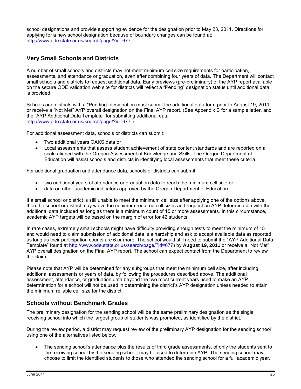school designations and provide supporting evidence for the designation prior to May 23, 2011. Directions for applying for a new school designation because of boundary changes can be found at: [http://www.ode.state.or.us/search/page/?id=677.](http://www.ode.state.or.us/search/page/?id=677)

### <span id="page-30-0"></span>**Very Small Schools and Districts**

A number of small schools and districts may not meet minimum cell size requirements for participation, assessments, and attendance or graduation, even after combining four years of data. The Department will contact small schools and districts to request additional data. Early previews (pre-preliminary) of the AYP report available on the secure ODE validation web site for districts will reflect a "Pending" designation status until additional data is provided.

Schools and districts with a "Pending" designation must submit the additional data form prior to August 19, 2011 or receive a "Not Met" AYP overall designation on the Final AYP report. (See Appendix C for a sample letter, and the "AYP Additional Data Template" for submitting additional data: [http://www.ode.state.or.us/search/page/?id=677.](http://www.ode.state.or.us/search/page/?id=677))

For additional assessment data, schools or districts can submit:

- Two additional years OAKS data or
- Local assessments that assess student achievement of state content standards and are reported on a  $\bullet$ scale aligned with the Oregon Assessment of Knowledge and Skills. The Oregon Department of Education will assist schools and districts in identifying local assessments that meet these criteria.

For additional graduation and attendance data, schools or districts can submit:

- two additional years of attendance or graduation data to reach the minimum cell size or
- data on other academic indicators approved by the Oregon Department of Education.

If a small school or district is still unable to meet the minimum cell size after applying one of the options above, then the school or district may waive the minimum required cell sizes and request an AYP determination with the additional data included as long as there is a minimum count of 15 or more assessments. In this circumstance, academic AYP targets will be based on the margin of error for 42 students.

In rare cases, extremely small schools might have difficulty providing enough tests to meet the minimum of 15 and would need to claim submission of additional data is a hardship and ask to accept available data as reported as long as their participation counts are 6 or more. The school would still need to submit the "AYP Additional Data Template" found at [http://www.ode.state.or.us/search/page/?id=677\)](http://www.ode.state.or.us/search/page/?id=677) by **August 19, 2011** or receive a "Not Met" AYP overall designation on the Final AYP report. The school can expect contact from the Department to review the claim.

Please note that AYP will be determined for any subgroups that meet the minimum cell size, after including additional assessments or years of data, by following the procedures described above. The additional assessment, attendance, or graduation data beyond the two most current years used to make an AYP determination for a school will not be used in determining the district's AYP designation unless needed to attain the minimum reliable cell size for the district.

### <span id="page-30-1"></span>**Schools without Benchmark Grades**

The preliminary designation for the sending school will be the same preliminary designation as the single receiving school into which the largest group of students was promoted, as identified by the district.

During the review period, a district may request review of the preliminary AYP designation for the sending school using one of the alternatives listed below.

The sending school"s attendance plus the results of third grade assessments, of only the students sent to the receiving school by the sending school, may be used to determine AYP. The sending school may choose to limit the identified students to those who attended the sending school for a full academic year.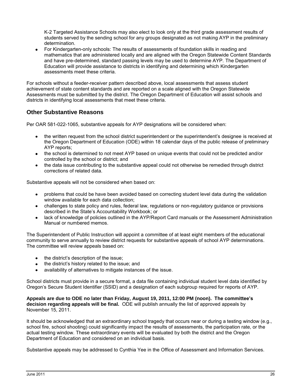K-2 Targeted Assistance Schools may also elect to look only at the third grade assessment results of students served by the sending school for any groups designated as not making AYP in the preliminary determination.

For Kindergarten-only schools: The results of assessments of foundation skills in reading and mathematics that are administered locally and are aligned with the Oregon Statewide Content Standards and have pre-determined, standard passing levels may be used to determine AYP. The Department of Education will provide assistance to districts in identifying and determining which Kindergarten assessments meet these criteria.

For schools without a feeder-receiver pattern described above, local assessments that assess student achievement of state content standards and are reported on a scale aligned with the Oregon Statewide Assessments must be submitted by the district. The Oregon Department of Education will assist schools and districts in identifying local assessments that meet these criteria.

### <span id="page-31-0"></span>**Other Substantive Reasons**

Per OAR 581-022-1065, substantive appeals for AYP designations will be considered when:

- the written request from the school district superintendent or the superintendent"s designee is received at the Oregon Department of Education (ODE) within 18 calendar days of the public release of preliminary AYP reports;
- the school is determined to not meet AYP based on unique events that could not be predicted and/or controlled by the school or district; and
- the data issue contributing to the substantive appeal could not otherwise be remedied through district corrections of related data.

Substantive appeals will not be considered when based on:

- problems that could be have been avoided based on correcting student level data during the validation window available for each data collection;
- challenges to state policy and rules, federal law, regulations or non-regulatory guidance or provisions described in the State"s Accountability Workbook; or
- lack of knowledge of policies outlined in the AYP/Report Card manuals or the Assessment Administration Manual or numbered memos.

The Superintendent of Public Instruction will appoint a committee of at least eight members of the educational community to serve annually to review district requests for substantive appeals of school AYP determinations. The committee will review appeals based on:

- the district's description of the issue;
- the district's history related to the issue; and
- availability of alternatives to mitigate instances of the issue.

School districts must provide in a secure format, a data file containing individual student level data identified by Oregon"s Secure Student Identifier (SSID) and a designation of each subgroup required for reports of AYP.

**Appeals are due to ODE no later than Friday, August 19, 2011, 12:00 PM (noon). The committee's decision regarding appeals will be final.** ODE will publish annually the list of approved appeals by November 15, 2011.

It should be acknowledged that an extraordinary school tragedy that occurs near or during a testing window (e.g., school fire, school shooting) could significantly impact the results of assessments, the participation rate, or the actual testing window. These extraordinary events will be evaluated by both the district and the Oregon Department of Education and considered on an individual basis.

Substantive appeals may be addressed to Cynthia Yee in the Office of Assessment and Information Services.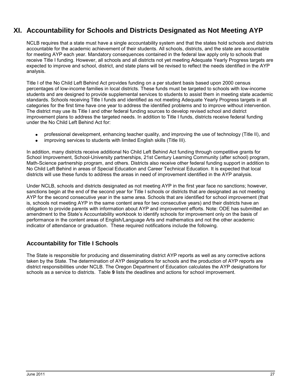### <span id="page-32-0"></span>**XI. Accountability for Schools and Districts Designated as Not Meeting AYP**

NCLB requires that a state must have a single accountability system and that the states hold schools and districts accountable for the academic achievement of their students. All schools, districts, and the state are accountable for meeting AYP each year. Mandatory consequences contained in the federal law apply only to schools that receive Title I funding. However, all schools and all districts not yet meeting Adequate Yearly Progress targets are expected to improve and school, district, and state plans will be revised to reflect the needs identified in the AYP analysis.

Title I of the No Child Left Behind Act provides funding on a per student basis based upon 2000 census percentages of low-income families in local districts. These funds must be targeted to schools with low-income students and are designed to provide supplemental services to students to assist them in meeting state academic standards. Schools receiving Title I funds and identified as not meeting Adequate Yearly Progress targets in all categories for the first time have one year to address the identified problems and to improve without intervention. The district may use its Title I and other federal funding sources to develop revised school and district improvement plans to address the targeted needs. In addition to Title I funds, districts receive federal funding under the No Child Left Behind Act for:

- professional development, enhancing teacher quality, and improving the use of technology (Title II), and
- $\bullet$ improving services to students with limited English skills (Title III).

In addition, many districts receive additional No Child Left Behind Act funding through competitive grants for School Improvement, School-University partnerships, 21st Century Learning Community (after school) program, Math-Science partnership program, and others. Districts also receive other federal funding support in addition to No Child Left Behind in areas of Special Education and Career Technical Education. It is expected that local districts will use these funds to address the areas in need of improvement identified in the AYP analysis.

Under NCLB, schools and districts designated as not meeting AYP in the first year face no sanctions; however, sanctions begin at the end of the second year for Title I schools or districts that are designated as not meeting AYP for the second consecutive year in the same area. Schools that are identified for school improvement (that is, schools not meeting AYP in the same content area for two consecutive years) and their districts have an obligation to provide parents with information about AYP and improvement efforts. Note: ODE has submitted an amendment to the State"s Accountability workbook to identify schools for improvement only on the basis of performance in the content areas of English/Language Arts and mathematics and not the other academic indicator of attendance or graduation. These required notifications include the following.

### <span id="page-32-1"></span>**Accountability for Title I Schools**

The State is responsible for producing and disseminating district AYP reports as well as any corrective actions taken by the State. The determination of AYP designations for schools and the production of AYP reports are district responsibilities under NCLB. The Oregon Department of Education calculates the AYP designations for schools as a service to districts. [Table](#page-33-0) **9** lists the deadlines and actions for school improvement.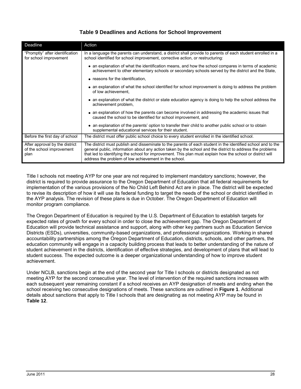### **Table 9 Deadlines and Actions for School Improvement**

<span id="page-33-0"></span>

| Deadline                                                            | Action                                                                                                                                                                                                                                                                                                                                                                                           |
|---------------------------------------------------------------------|--------------------------------------------------------------------------------------------------------------------------------------------------------------------------------------------------------------------------------------------------------------------------------------------------------------------------------------------------------------------------------------------------|
| "Promptly" after identification<br>for school improvement           | In a language the parents can understand, a district shall provide to parents of each student enrolled in a<br>school identified for school improvement, corrective action, or restructuring:                                                                                                                                                                                                    |
|                                                                     | • an explanation of what the identification means, and how the school compares in terms of academic<br>achievement to other elementary schools or secondary schools served by the district and the State.                                                                                                                                                                                        |
|                                                                     | • reasons for the identification,                                                                                                                                                                                                                                                                                                                                                                |
|                                                                     | • an explanation of what the school identified for school improvement is doing to address the problem<br>of low achievement.                                                                                                                                                                                                                                                                     |
|                                                                     | • an explanation of what the district or state education agency is doing to help the school address the<br>achievement problem,                                                                                                                                                                                                                                                                  |
|                                                                     | • an explanation of how the parents can become involved in addressing the academic issues that<br>caused the school to be identified for school improvement, and                                                                                                                                                                                                                                 |
|                                                                     | • an explanation of the parents' option to transfer their child to another public school or to obtain<br>supplemental educational services for their student.                                                                                                                                                                                                                                    |
| Before the first day of school                                      | The district must offer public school choice to every student enrolled in the identified school.                                                                                                                                                                                                                                                                                                 |
| After approval by the district<br>of the school improvement<br>plan | The district must publish and disseminate to the parents of each student in the identified school and to the<br>general public, information about any action taken by the school and the district to address the problems<br>that led to identifying the school for improvement. This plan must explain how the school or district will<br>address the problem of low achievement in the school. |

Title I schools not meeting AYP for one year are not required to implement mandatory sanctions; however, the district is required to provide assurance to the Oregon Department of Education that all federal requirements for implementation of the various provisions of the No Child Left Behind Act are in place. The district will be expected to revise its description of how it will use its federal funding to target the needs of the school or district identified in the AYP analysis. The revision of these plans is due in October. The Oregon Department of Education will monitor program compliance.

The Oregon Department of Education is required by the U.S. Department of Education to establish targets for expected rates of growth for every school in order to close the achievement gap. The Oregon Department of Education will provide technical assistance and support, along with other key partners such as Education Service Districts (ESDs), universities, community-based organizations, and professional organizations. Working in shared accountability partnerships among the Oregon Department of Education, districts, schools, and other partners, the education community will engage in a capacity building process that leads to better understanding of the nature of student achievement in the districts, identification of effective strategies, and development of plans that will lead to student success. The expected outcome is a deeper organizational understanding of how to improve student achievement.

Under NCLB, sanctions begin at the end of the second year for Title I schools or districts designated as not meeting AYP for the second consecutive year. The level of intervention of the required sanctions increases with each subsequent year remaining constant if a school receives an AYP designation of meets and ending when the school receiving two consecutive designations of meets. These sanctions are outlined in **[Figure 1](#page-34-0)**. Additional details about sanctions that apply to Title I schools that are designating as not meeting AYP may be found in **[Table 12](#page-41-0)**.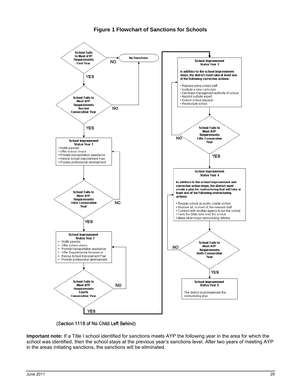### **Figure 1 Flowchart of Sanctions for Schools**

<span id="page-34-0"></span>

(Section 1116 of No Child Left Behind)

**Important note:** If a Title I school identified for sanctions meets AYP the following year in the area for which the school was identified, then the school stays at the previous year's sanctions level. After two years of meeting AYP in the areas initiating sanctions, the sanctions will be eliminated.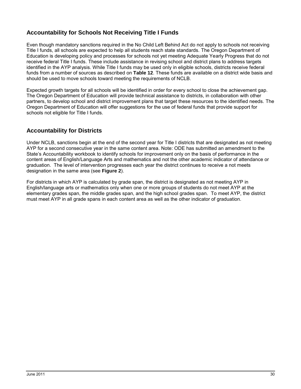### <span id="page-35-0"></span>**Accountability for Schools Not Receiving Title I Funds**

Even though mandatory sanctions required in the No Child Left Behind Act do not apply to schools not receiving Title I funds, all schools are expected to help all students reach state standards. The Oregon Department of Education is developing policy and processes for schools not yet meeting Adequate Yearly Progress that do not receive federal Title I funds. These include assistance in revising school and district plans to address targets identified in the AYP analysis. While Title I funds may be used only in eligible schools, districts receive federal funds from a number of sources as described on **[Table 12](#page-41-0)**. These funds are available on a district wide basis and should be used to move schools toward meeting the requirements of NCLB.

Expected growth targets for all schools will be identified in order for every school to close the achievement gap. The Oregon Department of Education will provide technical assistance to districts, in collaboration with other partners, to develop school and district improvement plans that target these resources to the identified needs. The Oregon Department of Education will offer suggestions for the use of federal funds that provide support for schools not eligible for Title I funds.

### <span id="page-35-1"></span>**Accountability for Districts**

Under NCLB, sanctions begin at the end of the second year for Title I districts that are designated as not meeting AYP for a second consecutive year in the same content area. Note: ODE has submitted an amendment to the State's Accountability workbook to identify schools for improvement only on the basis of performance in the content areas of English/Language Arts and mathematics and not the other academic indicator of attendance or graduation. The level of intervention progresses each year the district continues to receive a not meets designation in the same area (see **[Figure 2](#page-36-0)**).

For districts in which AYP is calculated by grade span, the district is designated as not meeting AYP in English/language arts or mathematics only when one or more groups of students do not meet AYP at the elementary grades span, the middle grades span, and the high school grades span. To meet AYP, the district must meet AYP in all grade spans in each content area as well as the other indicator of graduation.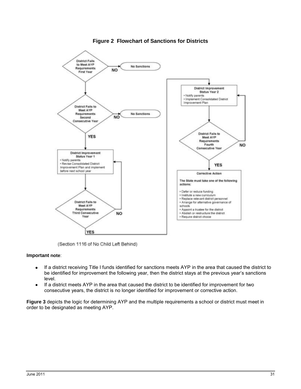<span id="page-36-0"></span>

### **Figure 2 Flowchart of Sanctions for Districts**

(Section 1116 of No Child Left Behind)

### **Important note**:

- If a district receiving Title I funds identified for sanctions meets AYP in the area that caused the district to  $\bullet$ be identified for improvement the following year, then the district stays at the previous year's sanctions level.
- If a district meets AYP in the area that caused the district to be identified for improvement for two  $\bullet$ consecutive years, the district is no longer identified for improvement or corrective action.

**[Figure 3](#page-37-0)** depicts the logic for determining AYP and the multiple requirements a school or district must meet in order to be designated as meeting AYP.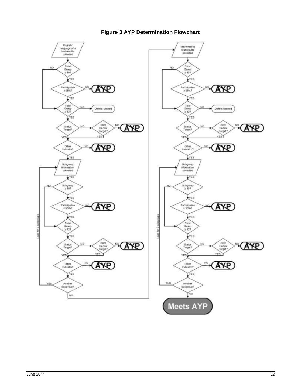<span id="page-37-0"></span>

### **Figure 3 AYP Determination Flowchart**

AY<sub>R</sub>

AY<sub>R</sub>